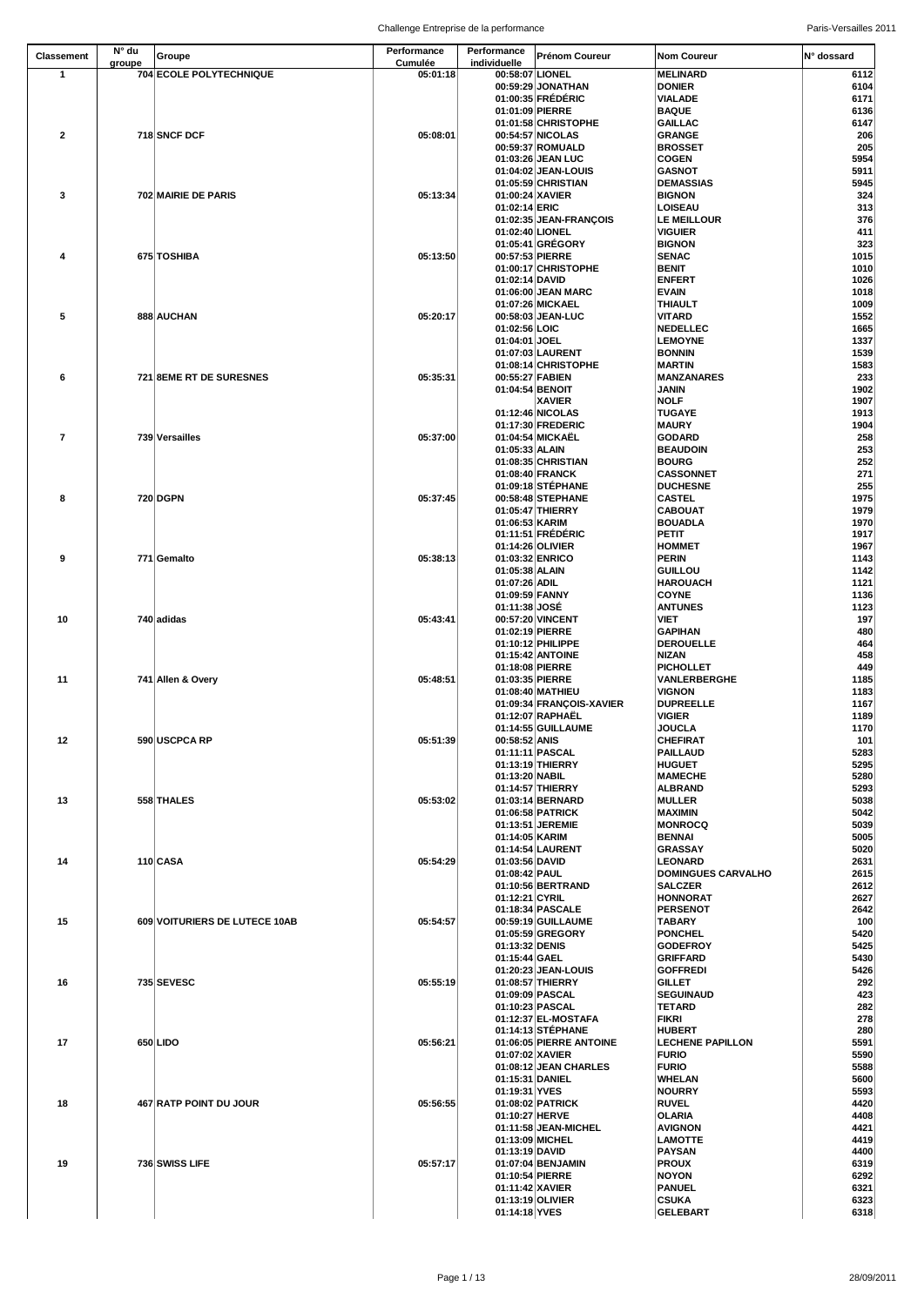| <b>Classement</b>       | N° du<br>groupe | Groupe                        | Performance<br><b>Cumulée</b> | Performance<br>individuelle | <b>Prénom Coureur</b>                        | <b>Nom Coureur</b>                 | N° dossard   |
|-------------------------|-----------------|-------------------------------|-------------------------------|-----------------------------|----------------------------------------------|------------------------------------|--------------|
| 1                       |                 | 704 ECOLE POLYTECHNIQUE       | 05:01:18                      | 00:58:07 LIONEL             |                                              | <b>MELINARD</b>                    | 6112         |
|                         |                 |                               |                               |                             | 00:59:29 JONATHAN                            | <b>DONIER</b>                      | 6104         |
|                         |                 |                               |                               |                             | 01:00:35 FRÉDÉRIC                            | <b>VIALADE</b>                     | 6171         |
|                         |                 |                               |                               | 01:01:09 PIERRE             | 01:01:58 CHRISTOPHE                          | <b>BAQUE</b><br><b>GAILLAC</b>     | 6136<br>6147 |
| $\mathbf{2}$            |                 | 718 SNCF DCF                  | 05:08:01                      |                             | 00:54:57 NICOLAS                             | <b>GRANGE</b>                      | 206          |
|                         |                 |                               |                               |                             | 00:59:37 ROMUALD                             | <b>BROSSET</b>                     | 205          |
|                         |                 |                               |                               |                             | 01:03:26 JEAN LUC                            | <b>COGEN</b>                       | 5954         |
|                         |                 |                               |                               |                             | 01:04:02 JEAN-LOUIS                          | <b>GASNOT</b>                      | 5911         |
|                         |                 | 702 MAIRIE DE PARIS           | 05:13:34                      | 01:00:24 XAVIER             | 01:05:59 CHRISTIAN                           | <b>DEMASSIAS</b><br><b>BIGNON</b>  | 5945<br>324  |
| $\mathbf{3}$            |                 |                               |                               | 01:02:14 ERIC               |                                              | <b>LOISEAU</b>                     | 313          |
|                         |                 |                               |                               |                             | 01:02:35 JEAN-FRANÇOIS                       | <b>LE MEILLOUR</b>                 | 376          |
|                         |                 |                               |                               | 01:02:40 LIONEL             |                                              | <b>VIGUIER</b>                     | 411          |
|                         |                 |                               |                               |                             | 01:05:41 GRÉGORY                             | <b>BIGNON</b>                      | 323          |
| 4                       |                 | 675 TOSHIBA                   | 05:13:50                      | 00:57:53 PIERRE             | 01:00:17 CHRISTOPHE                          | <b>SENAC</b><br><b>BENIT</b>       | 1015         |
|                         |                 |                               |                               | 01:02:14 DAVID              |                                              | <b>ENFERT</b>                      | 1010<br>1026 |
|                         |                 |                               |                               |                             | 01:06:00 JEAN MARC                           | <b>EVAIN</b>                       | 1018         |
|                         |                 |                               |                               |                             | 01:07:26 MICKAEL                             | <b>THIAULT</b>                     | 1009         |
| $\sqrt{5}$              |                 | 888 AUCHAN                    | 05:20:17                      |                             | 00:58:03 JEAN-LUC                            | <b>VITARD</b>                      | 1552         |
|                         |                 |                               |                               | 01:02:56 LOIC               |                                              | <b>NEDELLEC</b>                    | 1665         |
|                         |                 |                               |                               | 01:04:01 JOEL               | 01:07:03 LAURENT                             | <b>LEMOYNE</b><br><b>BONNIN</b>    | 1337<br>1539 |
|                         |                 |                               |                               |                             | 01:08:14 CHRISTOPHE                          | <b>MARTIN</b>                      | 1583         |
| 6                       |                 | 721 8EME RT DE SURESNES       | 05:35:31                      | 00:55:27 FABIEN             |                                              | <b>MANZANARES</b>                  | 233          |
|                         |                 |                               |                               | 01:04:54 BENOIT             |                                              | <b>JANIN</b>                       | 1902         |
|                         |                 |                               |                               |                             | <b>XAVIER</b>                                | <b>NOLF</b>                        | 1907         |
|                         |                 |                               |                               |                             | 01:12:46 NICOLAS<br>01:17:30 FREDERIC        | <b>TUGAYE</b><br><b>MAURY</b>      | 1913<br>1904 |
| $\overline{\mathbf{r}}$ |                 | 739 Versailles                | 05:37:00                      |                             | 01:04:54 MICKAËL                             | <b>GODARD</b>                      | 258          |
|                         |                 |                               |                               | 01:05:33 ALAIN              |                                              | <b>BEAUDOIN</b>                    | 253          |
|                         |                 |                               |                               |                             | 01:08:35 CHRISTIAN                           | <b>BOURG</b>                       | 252          |
|                         |                 |                               |                               |                             | 01:08:40 FRANCK                              | <b>CASSONNET</b>                   | 271          |
| 8                       |                 | 720 DGPN                      | 05:37:45                      |                             | 01:09:18 STÉPHANE<br>00:58:48 STEPHANE       | <b>DUCHESNE</b><br><b>CASTEL</b>   | 255<br>1975  |
|                         |                 |                               |                               |                             | 01:05:47 THIERRY                             | <b>CABOUAT</b>                     | 1979         |
|                         |                 |                               |                               | 01:06:53 KARIM              |                                              | <b>BOUADLA</b>                     | 1970         |
|                         |                 |                               |                               |                             | 01:11:51 FRÉDÉRIC                            | <b>PETIT</b>                       | 1917         |
|                         |                 |                               |                               | 01:14:26 OLIVIER            |                                              | <b>HOMMET</b>                      | 1967         |
| $\boldsymbol{9}$        |                 | 771 Gemalto                   | 05:38:13                      | 01:05:38 ALAIN              | 01:03:32 ENRICO                              | <b>PERIN</b><br><b>GUILLOU</b>     | 1143<br>1142 |
|                         |                 |                               |                               | 01:07:26 ADIL               |                                              | <b>HAROUACH</b>                    | 1121         |
|                         |                 |                               |                               | 01:09:59 FANNY              |                                              | <b>COYNE</b>                       | 1136         |
|                         |                 |                               |                               | 01:11:38 JOSÉ               |                                              | <b>ANTUNES</b>                     | 1123         |
| 10                      |                 | 740 adidas                    | 05:43:41                      |                             | 00:57:20 VINCENT                             | <b>VIET</b>                        | 197          |
|                         |                 |                               |                               | 01:02:19 PIERRE             | 01:10:12 PHILIPPE                            | <b>GAPIHAN</b><br><b>DEROUELLE</b> | 480<br>464   |
|                         |                 |                               |                               |                             | 01:15:42 ANTOINE                             | <b>NIZAN</b>                       | 458          |
|                         |                 |                               |                               | 01:18:08 PIERRE             |                                              | <b>PICHOLLET</b>                   | 449          |
| 11                      |                 | 741 Allen & Overy             | 05:48:51                      | 01:03:35 PIERRE             |                                              | <b>VANLERBERGHE</b>                | 1185         |
|                         |                 |                               |                               |                             | 01:08:40 MATHIEU                             | <b>VIGNON</b>                      | 1183         |
|                         |                 |                               |                               |                             | 01:09:34 FRANÇOIS-XAVIER<br>01:12:07 RAPHAËL | <b>DUPREELLE</b><br><b>VIGIER</b>  | 1167<br>1189 |
|                         |                 |                               |                               |                             | 01:14:55 GUILLAUME                           | <b>JOUCLA</b>                      | 1170         |
| 12                      |                 | 590 USCPCA RP                 | 05:51:39                      | 00:58:52 ANIS               |                                              | <b>CHEFIRAT</b>                    | 101          |
|                         |                 |                               |                               |                             | 01:11:11 PASCAL                              | <b>PAILLAUD</b>                    | 5283         |
|                         |                 |                               |                               |                             | 01:13:19 THIERRY                             | <b>HUGUET</b>                      | 5295         |
|                         |                 |                               |                               | 01:13:20 NABIL              | 01:14:57 THIERRY                             | <b>MAMECHE</b><br><b>ALBRAND</b>   | 5280<br>5293 |
| 13                      |                 | 558 THALES                    | 05:53:02                      |                             | 01:03:14 BERNARD                             | <b>MULLER</b>                      | 5038         |
|                         |                 |                               |                               |                             | 01:06:58 PATRICK                             | <b>MAXIMIN</b>                     | 5042         |
|                         |                 |                               |                               |                             | 01:13:51 JEREMIE                             | <b>MONROCQ</b>                     | 5039         |
|                         |                 |                               |                               | 01:14:05 KARIM              |                                              | <b>BENNAI</b>                      | 5005         |
| 14                      |                 | 110 CASA                      | 05:54:29                      | 01:03:56 DAVID              | 01:14:54 LAURENT                             | GRASSAY<br><b>LEONARD</b>          | 5020<br>2631 |
|                         |                 |                               |                               | 01:08:42 PAUL               |                                              | <b>DOMINGUES CARVALHO</b>          | 2615         |
|                         |                 |                               |                               |                             | 01:10:56 BERTRAND                            | <b>SALCZER</b>                     | 2612         |
|                         |                 |                               |                               | 01:12:21 CYRIL              |                                              | <b>HONNORAT</b>                    | 2627         |
| 15                      |                 | 609 VOITURIERS DE LUTECE 10AB | 05:54:57                      |                             | 01:18:34 PASCALE<br>00:59:19 GUILLAUME       | <b>PERSENOT</b><br><b>TABARY</b>   | 2642<br>100  |
|                         |                 |                               |                               |                             | 01:05:59 GREGORY                             | <b>PONCHEL</b>                     | 5420         |
|                         |                 |                               |                               | 01:13:32 DENIS              |                                              | <b>GODEFROY</b>                    | 5425         |
|                         |                 |                               |                               | 01:15:44 GAEL               |                                              | <b>GRIFFARD</b>                    | 5430         |
|                         |                 |                               |                               |                             | 01:20:23 JEAN-LOUIS                          | <b>GOFFREDI</b>                    | 5426         |
| 16                      |                 | 735 SEVESC                    | 05:55:19                      |                             | 01:08:57 THIERRY<br>01:09:09 PASCAL          | <b>GILLET</b><br><b>SEGUINAUD</b>  | 292<br>423   |
|                         |                 |                               |                               |                             | 01:10:23 PASCAL                              | <b>TETARD</b>                      | 282          |
|                         |                 |                               |                               |                             | 01:12:37 EL-MOSTAFA                          | <b>FIKRI</b>                       | 278          |
|                         |                 |                               |                               |                             | 01:14:13 STÉPHANE                            | <b>HUBERT</b>                      | 280          |
| 17                      |                 | 650 LIDO                      | 05:56:21                      |                             | 01:06:05 PIERRE ANTOINE                      | <b>LECHENE PAPILLON</b>            | 5591         |
|                         |                 |                               |                               | 01:07:02 XAVIER             | 01:08:12 JEAN CHARLES                        | <b>FURIO</b><br><b>FURIO</b>       | 5590<br>5588 |
|                         |                 |                               |                               | 01:15:31 DANIEL             |                                              | <b>WHELAN</b>                      | 5600         |
|                         |                 |                               |                               | 01:19:31 YVES               |                                              | <b>NOURRY</b>                      | 5593         |
| 18                      |                 | 467 RATP POINT DU JOUR        | 05:56:55                      |                             | 01:08:02 PATRICK                             | <b>RUVEL</b>                       | 4420         |
|                         |                 |                               |                               | 01:10:27 HERVE              |                                              | <b>OLARIA</b>                      | 4408         |
|                         |                 |                               |                               | 01:13:09 MICHEL             | 01:11:58 JEAN-MICHEL                         | <b>AVIGNON</b><br><b>LAMOTTE</b>   | 4421<br>4419 |
|                         |                 |                               |                               | 01:13:19 DAVID              |                                              | <b>PAYSAN</b>                      | 4400         |
| 19                      |                 | 736 SWISS LIFE                | 05:57:17                      |                             | 01:07:04 BENJAMIN                            | <b>PROUX</b>                       | 6319         |
|                         |                 |                               |                               | 01:10:54 PIERRE             |                                              | <b>NOYON</b>                       | 6292         |
|                         |                 |                               |                               | 01:11:42 XAVIER             |                                              | <b>PANUEL</b>                      | 6321         |
|                         |                 |                               |                               | 01:14:18 YVES               | 01:13:19 OLIVIER                             | <b>CSUKA</b><br><b>GELEBART</b>    | 6323<br>6318 |
|                         |                 |                               |                               |                             |                                              |                                    |              |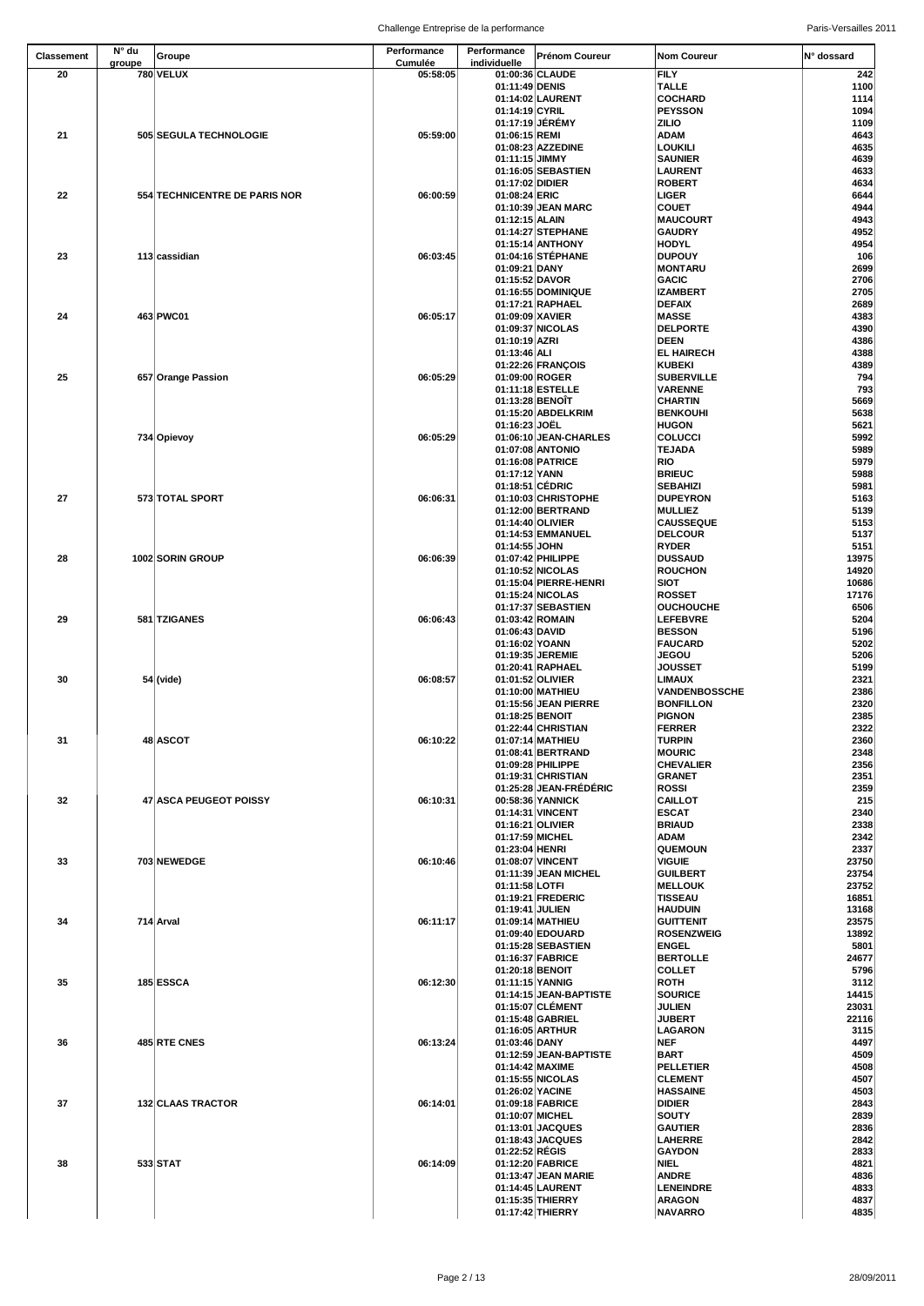| <b>Classement</b> | $N^{\circ}$ du | Groupe                        | Performance                | Performance                      | <b>Prénom Coureur</b>                     | <b>Nom Coureur</b>                       | <b>N°</b> dossard |
|-------------------|----------------|-------------------------------|----------------------------|----------------------------------|-------------------------------------------|------------------------------------------|-------------------|
| 20                | groupe         | <b>780 VELUX</b>              | <b>Cumulée</b><br>05:58:05 | individuelle                     | 01:00:36 CLAUDE                           | <b>FILY</b>                              | 242               |
|                   |                |                               |                            | 01:11:49 DENIS                   |                                           | <b>TALLE</b>                             | 1100              |
|                   |                |                               |                            |                                  | 01:14:02 LAURENT                          | <b>COCHARD</b>                           | 1114              |
|                   |                |                               |                            | 01:14:19 CYRIL                   | 01:17:19 JÉRÉMY                           | <b>PEYSSON</b><br><b>ZILIO</b>           | 1094<br>1109      |
| 21                |                | 505 SEGULA TECHNOLOGIE        | 05:59:00                   | 01:06:15 REMI                    |                                           | <b>ADAM</b>                              | 4643              |
|                   |                |                               |                            |                                  | 01:08:23 AZZEDINE                         | <b>LOUKILI</b>                           | 4635              |
|                   |                |                               |                            | 01:11:15 JIMMY                   |                                           | <b>SAUNIER</b>                           | 4639              |
|                   |                |                               |                            | 01:17:02 DIDIER                  | 01:16:05 SEBASTIEN                        | <b>LAURENT</b><br><b>ROBERT</b>          | 4633              |
| 22                |                | 554 TECHNICENTRE DE PARIS NOR | 06:00:59                   | 01:08:24 ERIC                    |                                           | <b>LIGER</b>                             | 4634<br>6644      |
|                   |                |                               |                            |                                  | 01:10:39 JEAN MARC                        | <b>COUET</b>                             | 4944              |
|                   |                |                               |                            | 01:12:15 ALAIN                   |                                           | <b>MAUCOURT</b>                          | 4943              |
|                   |                |                               |                            |                                  | 01:14:27 STEPHANE                         | <b>GAUDRY</b>                            | 4952              |
| 23                |                | 113 cassidian                 | 06:03:45                   |                                  | 01:15:14 ANTHONY<br>01:04:16 STÉPHANE     | <b>HODYL</b><br><b>DUPOUY</b>            | 4954<br>106       |
|                   |                |                               |                            | 01:09:21 DANY                    |                                           | <b>MONTARU</b>                           | 2699              |
|                   |                |                               |                            | 01:15:52 DAVOR                   |                                           | <b>GACIC</b>                             | 2706              |
|                   |                |                               |                            |                                  | 01:16:55 DOMINIQUE                        | <b>IZAMBERT</b>                          | 2705              |
| 24                |                | 463 PWC01                     | 06:05:17                   | 01:09:09 XAVIER                  | 01:17:21 RAPHAEL                          | <b>DEFAIX</b><br><b>MASSE</b>            | 2689<br>4383      |
|                   |                |                               |                            |                                  | 01:09:37 NICOLAS                          | <b>DELPORTE</b>                          | 4390              |
|                   |                |                               |                            | 01:10:19 AZRI                    |                                           | <b>DEEN</b>                              | 4386              |
|                   |                |                               |                            | 01:13:46 ALI                     |                                           | <b>EL HAIRECH</b>                        | 4388              |
|                   |                |                               |                            |                                  | 01:22:26 FRANÇOIS                         | <b>KUBEKI</b>                            | 4389              |
| 25                |                | 657 Orange Passion            | 06:05:29                   | 01:09:00 ROGER                   | 01:11:18 ESTELLE                          | <b>SUBERVILLE</b><br><b>VARENNE</b>      | 794<br>793        |
|                   |                |                               |                            |                                  | 01:13:28 BENOÎT                           | <b>CHARTIN</b>                           | 5669              |
|                   |                |                               |                            |                                  | 01:15:20 ABDELKRIM                        | <b>BENKOUHI</b>                          | 5638              |
|                   |                |                               |                            | 01:16:23 JOËL                    |                                           | <b>HUGON</b>                             | 5621              |
|                   |                | 734 Opievoy                   | 06:05:29                   |                                  | 01:06:10 JEAN-CHARLES<br>01:07:08 ANTONIO | <b>COLUCCI</b><br><b>TEJADA</b>          | 5992<br>5989      |
|                   |                |                               |                            |                                  | 01:16:08 PATRICE                          | RIO                                      | 5979              |
|                   |                |                               |                            | 01:17:12 YANN                    |                                           | <b>BRIEUC</b>                            | 5988              |
|                   |                |                               |                            |                                  | 01:18:51 CÉDRIC                           | <b>SEBAHIZI</b>                          | 5981              |
| 27                |                | 573 TOTAL SPORT               | 06:06:31                   |                                  | 01:10:03 CHRISTOPHE                       | <b>DUPEYRON</b>                          | 5163              |
|                   |                |                               |                            |                                  | 01:12:00 BERTRAND<br>01:14:40 OLIVIER     | <b>MULLIEZ</b><br><b>CAUSSEQUE</b>       | 5139<br>5153      |
|                   |                |                               |                            |                                  | 01:14:53 EMMANUEL                         | <b>DELCOUR</b>                           | 5137              |
|                   |                |                               |                            | 01:14:55 JOHN                    |                                           | <b>RYDER</b>                             | 5151              |
| 28                |                | 1002 SORIN GROUP              | 06:06:39                   |                                  | 01:07:42 PHILIPPE                         | <b>DUSSAUD</b>                           | 13975             |
|                   |                |                               |                            |                                  | 01:10:52 NICOLAS<br>01:15:04 PIERRE-HENRI | <b>ROUCHON</b><br><b>SIOT</b>            | 14920<br>10686    |
|                   |                |                               |                            |                                  | 01:15:24 NICOLAS                          | <b>ROSSET</b>                            | 17176             |
|                   |                |                               |                            |                                  | 01:17:37 SEBASTIEN                        | <b>OUCHOUCHE</b>                         | 6506              |
| 29                |                | 581 TZIGANES                  | 06:06:43                   |                                  | 01:03:42 ROMAIN                           | <b>LEFEBVRE</b>                          | 5204              |
|                   |                |                               |                            | 01:06:43 DAVID<br>01:16:02 YOANN |                                           | <b>BESSON</b><br>FAUCARD                 | 5196<br>5202      |
|                   |                |                               |                            |                                  | 01:19:35 JEREMIE                          | <b>JEGOU</b>                             | 5206              |
|                   |                |                               |                            |                                  | 01:20:41 RAPHAEL                          | <b>JOUSSET</b>                           | 5199              |
| 30                |                | $54$ (vide)                   | 06:08:57                   |                                  | 01:01:52 OLIVIER                          | <b>LIMAUX</b>                            | 2321              |
|                   |                |                               |                            |                                  | 01:10:00 MATHIEU<br>01:15:56 JEAN PIERRE  | <b>VANDENBOSSCHE</b><br><b>BONFILLON</b> | 2386<br>2320      |
|                   |                |                               |                            |                                  | 01:18:25 BENOIT                           | <b>PIGNON</b>                            | 2385              |
|                   |                |                               |                            |                                  | 01:22:44 CHRISTIAN                        | <b>FERRER</b>                            | 2322              |
| 31                |                | 48 ASCOT                      | 06:10:22                   |                                  | 01:07:14 MATHIEU                          | <b>TURPIN</b>                            | 2360              |
|                   |                |                               |                            |                                  | 01:08:41 BERTRAND<br>01:09:28 PHILIPPE    | <b>MOURIC</b><br><b>CHEVALIER</b>        | 2348<br>2356      |
|                   |                |                               |                            |                                  | 01:19:31 CHRISTIAN                        | <b>GRANET</b>                            | 2351              |
|                   |                |                               |                            |                                  | 01:25:28 JEAN-FRÉDÉRIC                    | <b>ROSSI</b>                             | 2359              |
| 32                |                | 47 ASCA PEUGEOT POISSY        | 06:10:31                   |                                  | 00:58:36 YANNICK                          | <b>CAILLOT</b>                           | 215               |
|                   |                |                               |                            |                                  | 01:14:31 VINCENT                          | <b>ESCAT</b>                             | 2340              |
|                   |                |                               |                            |                                  | 01:16:21 OLIVIER<br>01:17:59 MICHEL       | <b>BRIAUD</b><br><b>ADAM</b>             | 2338<br>2342      |
|                   |                |                               |                            | 01:23:04 HENRI                   |                                           | <b>QUEMOUN</b>                           | 2337              |
| 33                |                | 703 NEWEDGE                   | 06:10:46                   |                                  | 01:08:07 VINCENT                          | <b>VIGUIE</b>                            | 23750             |
|                   |                |                               |                            |                                  | 01:11:39 JEAN MICHEL                      | <b>GUILBERT</b>                          | 23754             |
|                   |                |                               |                            | 01:11:58 LOTFI                   | 01:19:21 FREDERIC                         | <b>MELLOUK</b><br>TISSEAU                | 23752<br>16851    |
|                   |                |                               |                            | 01:19:41 JULIEN                  |                                           | <b>HAUDUIN</b>                           | 13168             |
| 34                |                | 714 Arval                     | 06:11:17                   |                                  | 01:09:14 MATHIEU                          | <b>GUITTENIT</b>                         | 23575             |
|                   |                |                               |                            |                                  | 01:09:40 EDOUARD                          | <b>ROSENZWEIG</b>                        | 13892             |
|                   |                |                               |                            |                                  | 01:15:28 SEBASTIEN<br>01:16:37 FABRICE    | <b>ENGEL</b><br><b>BERTOLLE</b>          | 5801<br>24677     |
|                   |                |                               |                            |                                  | 01:20:18 BENOIT                           | <b>COLLET</b>                            | 5796              |
| 35                |                | 185 ESSCA                     | 06:12:30                   |                                  | 01:11:15 YANNIG                           | <b>ROTH</b>                              | 3112              |
|                   |                |                               |                            |                                  | 01:14:15 JEAN-BAPTISTE                    | <b>SOURICE</b>                           | 14415             |
|                   |                |                               |                            |                                  | 01:15:07 CLÉMENT<br>01:15:48 GABRIEL      | <b>JULIEN</b><br><b>JUBERT</b>           | 23031<br>22116    |
|                   |                |                               |                            |                                  | 01:16:05 ARTHUR                           | <b>LAGARON</b>                           | 3115              |
| 36                |                | 485 RTE CNES                  | 06:13:24                   | 01:03:46 DANY                    |                                           | <b>NEF</b>                               | 4497              |
|                   |                |                               |                            |                                  | 01:12:59 JEAN-BAPTISTE                    | <b>BART</b>                              | 4509              |
|                   |                |                               |                            |                                  | 01:14:42 MAXIME                           | <b>PELLETIER</b>                         | 4508              |
|                   |                |                               |                            |                                  | 01:15:55 NICOLAS<br>01:26:02 YACINE       | <b>CLEMENT</b><br><b>HASSAINE</b>        | 4507<br>4503      |
| 37                |                | <b>132 CLAAS TRACTOR</b>      | 06:14:01                   |                                  | 01:09:18 FABRICE                          | <b>DIDIER</b>                            | 2843              |
|                   |                |                               |                            |                                  | 01:10:07 MICHEL                           | <b>SOUTY</b>                             | 2839              |
|                   |                |                               |                            |                                  | 01:13:01 JACQUES                          | <b>GAUTIER</b>                           | 2836              |
|                   |                |                               |                            | 01:22:52 RÉGIS                   | 01:18:43 JACQUES                          | <b>LAHERRE</b><br><b>GAYDON</b>          | 2842<br>2833      |
| 38                |                | 533 STAT                      | 06:14:09                   |                                  | 01:12:20 FABRICE                          | <b>NIEL</b>                              | 4821              |
|                   |                |                               |                            |                                  | 01:13:47 JEAN MARIE                       | <b>ANDRE</b>                             | 4836              |
|                   |                |                               |                            |                                  | 01:14:45 LAURENT                          | <b>LENEINDRE</b>                         | 4833              |
|                   |                |                               |                            |                                  | 01:15:35 THIERRY                          | <b>ARAGON</b>                            | 4837              |
|                   |                |                               |                            |                                  | 01:17:42 THIERRY                          | NAVARRO                                  | 4835              |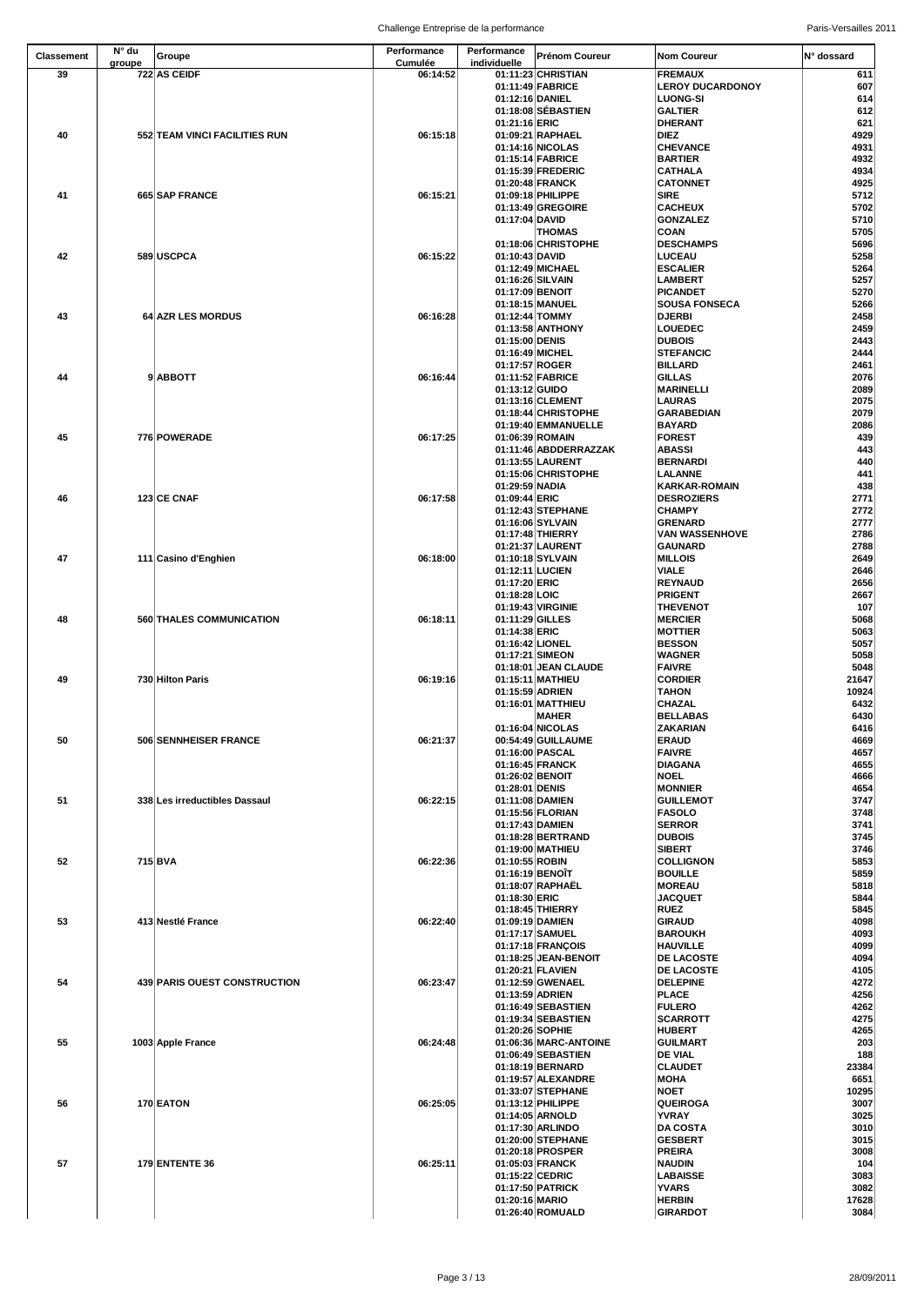| <b>Classement</b> | N° du  | Groupe                        | Performance                | Performance                       | <b>Prénom Coureur</b>                    | <b>Nom Coureur</b>                        | N° dossard     |
|-------------------|--------|-------------------------------|----------------------------|-----------------------------------|------------------------------------------|-------------------------------------------|----------------|
| 39                | groupe | 722 AS CEIDF                  | <b>Cumulée</b><br>06:14:52 | individuelle                      | 01:11:23 CHRISTIAN                       | <b>FREMAUX</b>                            | 611            |
|                   |        |                               |                            |                                   | 01:11:49 FABRICE                         | <b>LEROY DUCARDONOY</b>                   | 607            |
|                   |        |                               |                            | 01:12:16 DANIEL                   |                                          | <b>LUONG-SI</b>                           | 614            |
|                   |        |                               |                            | 01:21:16 ERIC                     | 01:18:08 SÉBASTIEN                       | <b>GALTIER</b><br><b>DHERANT</b>          | 612<br>621     |
| 40                |        | 552 TEAM VINCI FACILITIES RUN | 06:15:18                   |                                   | 01:09:21 RAPHAEL                         | <b>DIEZ</b>                               | 4929           |
|                   |        |                               |                            |                                   | 01:14:16 NICOLAS                         | <b>CHEVANCE</b>                           | 4931           |
|                   |        |                               |                            |                                   | 01:15:14 FABRICE                         | <b>BARTIER</b>                            | 4932           |
|                   |        |                               |                            |                                   | 01:15:39 FREDERIC<br>01:20:48 FRANCK     | <b>CATHALA</b><br><b>CATONNET</b>         | 4934<br>4925   |
| 41                |        | 665 SAP FRANCE                | 06:15:21                   |                                   | 01:09:18 PHILIPPE                        | <b>SIRE</b>                               | 5712           |
|                   |        |                               |                            |                                   | 01:13:49 GREGOIRE                        | <b>CACHEUX</b>                            | 5702           |
|                   |        |                               |                            | 01:17:04 DAVID                    |                                          | <b>GONZALEZ</b>                           | 5710           |
|                   |        |                               |                            |                                   | <b>THOMAS</b><br>01:18:06 CHRISTOPHE     | <b>COAN</b><br><b>DESCHAMPS</b>           | 5705<br>5696   |
| 42                |        | 589 USCPCA                    | 06:15:22                   | 01:10:43 DAVID                    |                                          | <b>LUCEAU</b>                             | 5258           |
|                   |        |                               |                            |                                   | 01:12:49 MICHAEL                         | <b>ESCALIER</b>                           | 5264           |
|                   |        |                               |                            | 01:16:26 SILVAIN                  |                                          | <b>LAMBERT</b>                            | 5257           |
|                   |        |                               |                            | 01:17:09 BENOIT                   | 01:18:15 MANUEL                          | <b>PICANDET</b><br><b>SOUSA FONSECA</b>   | 5270<br>5266   |
| 43                |        | 64 AZR LES MORDUS             | 06:16:28                   | 01:12:44 TOMMY                    |                                          | <b>DJERBI</b>                             | 2458           |
|                   |        |                               |                            |                                   | 01:13:58 ANTHONY                         | <b>LOUEDEC</b>                            | 2459           |
|                   |        |                               |                            | 01:15:00 DENIS                    |                                          | <b>DUBOIS</b>                             | 2443           |
|                   |        |                               |                            | 01:16:49 MICHEL<br>01:17:57 ROGER |                                          | <b>STEFANCIC</b><br><b>BILLARD</b>        | 2444<br>2461   |
| 44                |        | 9ABBOTT                       | 06:16:44                   |                                   | 01:11:52 FABRICE                         | <b>GILLAS</b>                             | 2076           |
|                   |        |                               |                            | 01:13:12 GUIDO                    |                                          | <b>MARINELLI</b>                          | 2089           |
|                   |        |                               |                            |                                   | 01:13:16 CLEMENT                         | <b>LAURAS</b>                             | 2075           |
|                   |        |                               |                            |                                   | 01:18:44 CHRISTOPHE                      | <b>GARABEDIAN</b>                         | 2079           |
| 45                |        | 776 POWERADE                  | 06:17:25                   | 01:06:39 ROMAIN                   | 01:19:40 EMMANUELLE                      | <b>BAYARD</b><br><b>FOREST</b>            | 2086<br>439    |
|                   |        |                               |                            |                                   | 01:11:46 ABDDERRAZZAK                    | <b>ABASSI</b>                             | 443            |
|                   |        |                               |                            |                                   | 01:13:55 LAURENT                         | <b>BERNARDI</b>                           | 440            |
|                   |        |                               |                            |                                   | 01:15:06 CHRISTOPHE                      | <b>LALANNE</b>                            | 441            |
| 46                |        | 123 CE CNAF                   | 06:17:58                   | 01:29:59 NADIA<br>01:09:44 ERIC   |                                          | <b>KARKAR-ROMAIN</b><br><b>DESROZIERS</b> | 438<br>2771    |
|                   |        |                               |                            |                                   | 01:12:43 STEPHANE                        | <b>CHAMPY</b>                             | 2772           |
|                   |        |                               |                            |                                   | 01:16:06 SYLVAIN                         | GRENARD                                   | 2777           |
|                   |        |                               |                            |                                   | 01:17:48 THIERRY                         | <b>VAN WASSENHOVE</b>                     | 2786           |
| 47                |        | 111 Casino d'Enghien          | 06:18:00                   |                                   | 01:21:37 LAURENT<br>01:10:18 SYLVAIN     | GAUNARD<br><b>MILLOIS</b>                 | 2788<br>2649   |
|                   |        |                               |                            | 01:12:11 LUCIEN                   |                                          | <b>VIALE</b>                              | 2646           |
|                   |        |                               |                            | 01:17:20 ERIC                     |                                          | <b>REYNAUD</b>                            | 2656           |
|                   |        |                               |                            | 01:18:28 LOIC                     |                                          | <b>PRIGENT</b>                            | 2667           |
|                   |        |                               |                            |                                   | 01:19:43 VIRGINIE                        | <b>THEVENOT</b>                           | 107            |
| 48                |        | 560 THALES COMMUNICATION      | 06:18:11                   | 01:11:29 GILLES<br>01:14:38 ERIC  |                                          | <b>MERCIER</b><br><b>MOTTIER</b>          | 5068<br>5063   |
|                   |        |                               |                            | 01:16:42 LIONEL                   |                                          | <b>BESSON</b>                             | 5057           |
|                   |        |                               |                            | 01:17:21 SIMEON                   |                                          | <b>WAGNER</b>                             | 5058           |
|                   |        |                               |                            |                                   | 01:18:01 JEAN CLAUDE<br>01:15:11 MATHIEU | <b>FAIVRE</b>                             | 5048           |
| 49                |        | 730 Hilton Paris              | 06:19:16                   | 01:15:59 ADRIEN                   |                                          | <b>CORDIER</b><br><b>TAHON</b>            | 21647<br>10924 |
|                   |        |                               |                            |                                   | 01:16:01 MATTHIEU                        | <b>CHAZAL</b>                             | 6432           |
|                   |        |                               |                            |                                   | <b>MAHER</b>                             | <b>BELLABAS</b>                           | 6430           |
|                   |        |                               |                            |                                   | 01:16:04 NICOLAS                         | <b>ZAKARIAN</b>                           | 6416           |
| 50                |        | 506 SENNHEISER FRANCE         | 06:21:37                   | 01:16:00 PASCAL                   | 00:54:49 GUILLAUME                       | <b>ERAUD</b><br><b>FAIVRE</b>             | 4669<br>4657   |
|                   |        |                               |                            |                                   | 01:16:45 FRANCK                          | <b>DIAGANA</b>                            | 4655           |
|                   |        |                               |                            | 01:26:02 BENOIT                   |                                          | <b>NOEL</b>                               | 4666           |
|                   |        |                               |                            | 01:28:01 DENIS                    |                                          | <b>MONNIER</b>                            | 4654           |
| 51                |        | 338 Les irreductibles Dassaul | 06:22:15                   | 01:11:08 DAMIEN                   | 01:15:56 FLORIAN                         | <b>GUILLEMOT</b><br><b>FASOLO</b>         | 3747<br>3748   |
|                   |        |                               |                            | 01:17:43 DAMIEN                   |                                          | <b>SERROR</b>                             | 3741           |
|                   |        |                               |                            |                                   | 01:18:28 BERTRAND                        | <b>DUBOIS</b>                             | 3745           |
|                   |        |                               |                            |                                   | 01:19:00 MATHIEU                         | <b>SIBERT</b>                             | 3746           |
| 52                |        | 715 BVA                       | 06:22:36                   | 01:10:55 ROBIN<br>01:16:19 BENOIT |                                          | <b>COLLIGNON</b><br><b>BOUILLE</b>        | 5853<br>5859   |
|                   |        |                               |                            |                                   | 01:18:07 RAPHAËL                         | <b>MOREAU</b>                             | 5818           |
|                   |        |                               |                            | 01:18:30 ERIC                     |                                          | <b>JACQUET</b>                            | 5844           |
|                   |        |                               |                            |                                   | 01:18:45 THIERRY                         | <b>RUEZ</b>                               | 5845           |
| 53                |        | 413 Nestlé France             | 06:22:40                   | 01:09:19 DAMIEN                   | 01:17:17 SAMUEL                          | GIRAUD<br><b>BAROUKH</b>                  | 4098<br>4093   |
|                   |        |                               |                            |                                   | 01:17:18 FRANÇOIS                        | <b>HAUVILLE</b>                           | 4099           |
|                   |        |                               |                            |                                   | 01:18:25 JEAN-BENOIT                     | <b>DE LACOSTE</b>                         | 4094           |
|                   |        |                               |                            |                                   | 01:20:21 FLAVIEN                         | <b>DE LACOSTE</b>                         | 4105           |
| 54                |        | 439 PARIS OUEST CONSTRUCTION  | 06:23:47                   | 01:13:59 ADRIEN                   | 01:12:59 GWENAEL                         | <b>DELEPINE</b><br><b>PLACE</b>           | 4272           |
|                   |        |                               |                            |                                   | 01:16:49 SEBASTIEN                       | <b>FULERO</b>                             | 4256<br>4262   |
|                   |        |                               |                            |                                   | 01:19:34 SEBASTIEN                       | <b>SCARROTT</b>                           | 4275           |
|                   |        |                               |                            | 01:20:26 SOPHIE                   |                                          | <b>HUBERT</b>                             | 4265           |
| 55                |        | 1003 Apple France             | 06:24:48                   |                                   | 01:06:36 MARC-ANTOINE                    | <b>GUILMART</b>                           | 203            |
|                   |        |                               |                            |                                   | 01:06:49 SEBASTIEN<br>01:18:19 BERNARD   | <b>DE VIAL</b><br><b>CLAUDET</b>          | 188<br>23384   |
|                   |        |                               |                            |                                   | 01:19:57 ALEXANDRE                       | <b>MOHA</b>                               | 6651           |
|                   |        |                               |                            |                                   | 01:33:07 STEPHANE                        | <b>NOET</b>                               | 10295          |
| 56                |        | 170 EATON                     | 06:25:05                   |                                   | 01:13:12 PHILIPPE                        | <b>QUEIROGA</b>                           | 3007           |
|                   |        |                               |                            |                                   | 01:14:05 ARNOLD<br>01:17:30 ARLINDO      | <b>YVRAY</b><br><b>DA COSTA</b>           | 3025<br>3010   |
|                   |        |                               |                            |                                   | 01:20:00 STEPHANE                        | <b>GESBERT</b>                            | 3015           |
|                   |        |                               |                            |                                   | 01:20:18 PROSPER                         | <b>PREIRA</b>                             | 3008           |
| 57                |        | <b>179 ENTENTE 36</b>         | 06:25:11                   |                                   | 01:05:03 FRANCK                          | <b>NAUDIN</b>                             | 104            |
|                   |        |                               |                            | 01:15:22 CEDRIC                   |                                          | <b>LABAISSE</b>                           | 3083           |
|                   |        |                               |                            | 01:20:16 MARIO                    | 01:17:50 PATRICK                         | <b>YVARS</b><br><b>HERBIN</b>             | 3082<br>17628  |
|                   |        |                               |                            |                                   | 01:26:40 ROMUALD                         | <b>GIRARDOT</b>                           | 3084           |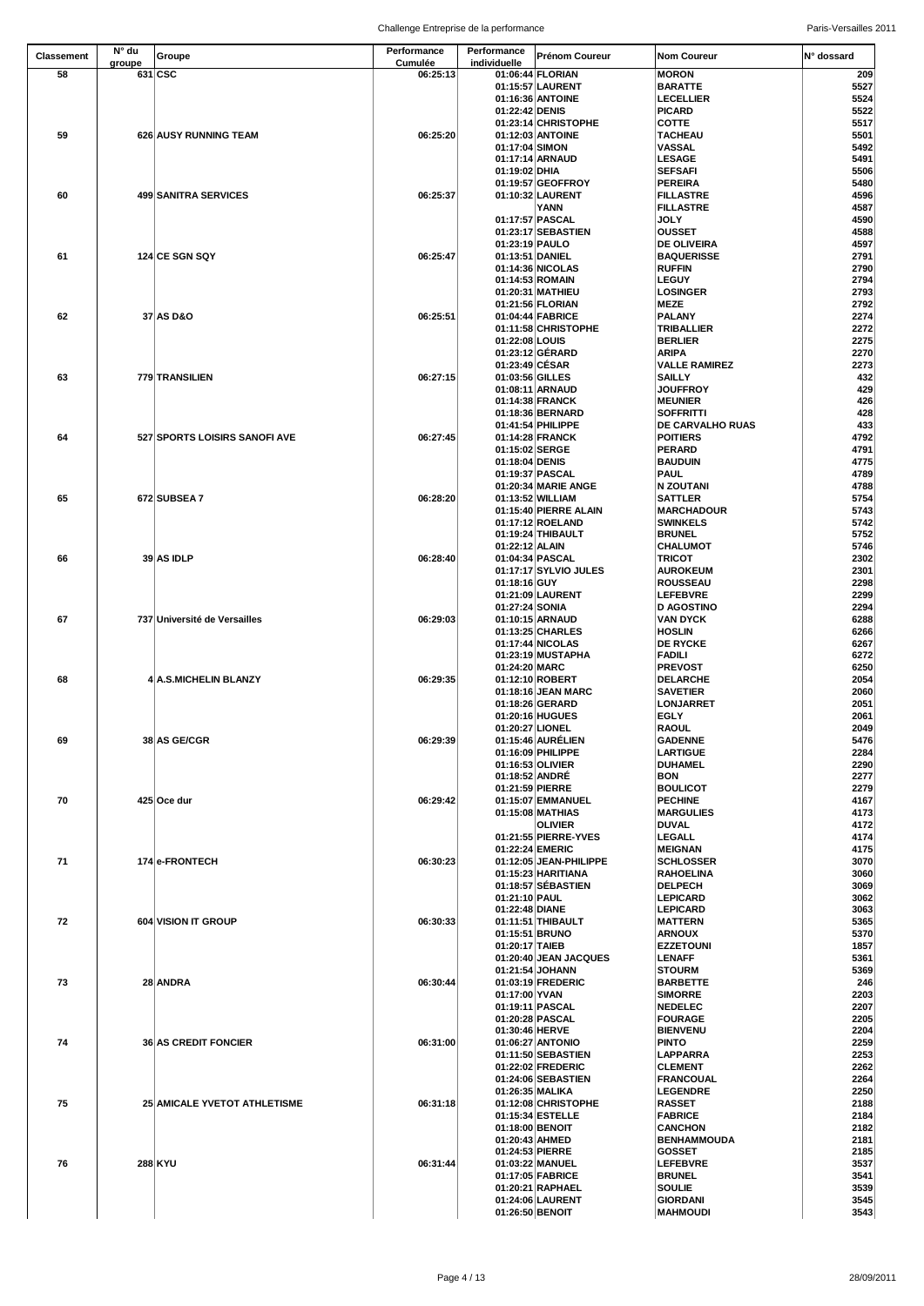| <b>Classement</b> | N° du  | Groupe                        | <b>Performance</b>         | Performance                       | <b>Prénom Coureur</b>                    | <b>Nom Coureur</b>                  | IN° dossard  |
|-------------------|--------|-------------------------------|----------------------------|-----------------------------------|------------------------------------------|-------------------------------------|--------------|
| 58                | groupe | 631 CSC                       | <b>Cumulée</b><br>06:25:13 | individuelle                      | 01:06:44 FLORIAN                         | <b>MORON</b>                        | 209          |
|                   |        |                               |                            |                                   | 01:15:57 LAURENT                         | <b>BARATTE</b>                      | 5527         |
|                   |        |                               |                            |                                   | 01:16:36 ANTOINE                         | LECELLIER                           | 5524         |
|                   |        |                               |                            | 01:22:42 DENIS                    | 01:23:14 CHRISTOPHE                      | <b>PICARD</b><br><b>COTTE</b>       | 5522<br>5517 |
| 59                |        | 626 AUSY RUNNING TEAM         | 06:25:20                   |                                   | 01:12:03 ANTOINE                         | <b>TACHEAU</b>                      | 5501         |
|                   |        |                               |                            | 01:17:04 SIMON                    |                                          | <b>VASSAL</b>                       | 5492         |
|                   |        |                               |                            |                                   | 01:17:14 ARNAUD                          | <b>LESAGE</b>                       | 5491         |
|                   |        |                               |                            | 01:19:02 DHIA                     | 01:19:57 GEOFFROY                        | <b>SEFSAFI</b><br><b>PEREIRA</b>    | 5506<br>5480 |
| 60                |        | 499 SANITRA SERVICES          | 06:25:37                   |                                   | 01:10:32 LAURENT                         | <b>FILLASTRE</b>                    | 4596         |
|                   |        |                               |                            |                                   | <b>YANN</b>                              | <b>FILLASTRE</b>                    | 4587         |
|                   |        |                               |                            |                                   | 01:17:57 PASCAL                          | <b>JOLY</b>                         | 4590         |
|                   |        |                               |                            | 01:23:19 PAULO                    | 01:23:17 SEBASTIEN                       | <b>OUSSET</b><br><b>DE OLIVEIRA</b> | 4588<br>4597 |
| 61                |        | 124 CE SGN SQY                | 06:25:47                   | 01:13:51 DANIEL                   |                                          | <b>BAQUERISSE</b>                   | 2791         |
|                   |        |                               |                            |                                   | 01:14:36 NICOLAS                         | <b>RUFFIN</b>                       | 2790         |
|                   |        |                               |                            |                                   | 01:14:53 ROMAIN                          | <b>LEGUY</b>                        | 2794         |
|                   |        |                               |                            |                                   | 01:20:31 MATHIEU<br>01:21:56 FLORIAN     | <b>LOSINGER</b><br><b>MEZE</b>      | 2793<br>2792 |
| 62                |        | 37 AS D&O                     | 06:25:51                   |                                   | 01:04:44 FABRICE                         | <b>PALANY</b>                       | 2274         |
|                   |        |                               |                            |                                   | 01:11:58 CHRISTOPHE                      | <b>TRIBALLIER</b>                   | 2272         |
|                   |        |                               |                            | 01:22:08 LOUIS                    | 01:23:12 GÉRARD                          | <b>BERLIER</b><br><b>ARIPA</b>      | 2275         |
|                   |        |                               |                            | 01:23:49 CÉSAR                    |                                          | <b>VALLE RAMIREZ</b>                | 2270<br>2273 |
| 63                |        | 779 TRANSILIEN                | 06:27:15                   | 01:03:56 GILLES                   |                                          | <b>SAILLY</b>                       | 432          |
|                   |        |                               |                            |                                   | 01:08:11 ARNAUD                          | <b>JOUFFROY</b>                     | 429          |
|                   |        |                               |                            |                                   | 01:14:38 FRANCK<br>01:18:36 BERNARD      | <b>MEUNIER</b><br><b>SOFFRITTI</b>  | 426<br>428   |
|                   |        |                               |                            |                                   | 01:41:54 PHILIPPE                        | <b>DE CARVALHO RUAS</b>             | 433          |
| 64                |        | 527 SPORTS LOISIRS SANOFI AVE | 06:27:45                   |                                   | 01:14:28 FRANCK                          | <b>POITIERS</b>                     | 4792         |
|                   |        |                               |                            | 01:15:02 SERGE                    |                                          | <b>PERARD</b>                       | 4791         |
|                   |        |                               |                            | 01:18:04 DENIS<br>01:19:37 PASCAL |                                          | <b>BAUDUIN</b><br>PAUL              | 4775<br>4789 |
|                   |        |                               |                            |                                   | 01:20:34 MARIE ANGE                      | <b>N ZOUTANI</b>                    | 4788         |
| 65                |        | 672 SUBSEA 7                  | 06:28:20                   |                                   | 01:13:52 WILLIAM                         | <b>SATTLER</b>                      | 5754         |
|                   |        |                               |                            |                                   | 01:15:40 PIERRE ALAIN                    | <b>MARCHADOUR</b>                   | 5743         |
|                   |        |                               |                            |                                   | 01:17:12 ROELAND<br>01:19:24 THIBAULT    | <b>SWINKELS</b><br><b>BRUNEL</b>    | 5742<br>5752 |
|                   |        |                               |                            | 01:22:12 ALAIN                    |                                          | <b>CHALUMOT</b>                     | 5746         |
| 66                |        | 39 AS IDLP                    | 06:28:40                   |                                   | 01:04:34 PASCAL                          | <b>TRICOT</b>                       | 2302         |
|                   |        |                               |                            |                                   | 01:17:17 SYLVIO JULES                    | <b>AUROKEUM</b>                     | 2301         |
|                   |        |                               |                            | 01:18:16 GUY                      | 01:21:09 LAURENT                         | <b>ROUSSEAU</b><br><b>LEFEBVRE</b>  | 2298<br>2299 |
|                   |        |                               |                            | 01:27:24 SONIA                    |                                          | <b>D AGOSTINO</b>                   | 2294         |
| 67                |        | 737 Université de Versailles  | 06:29:03                   |                                   | 01:10:15 ARNAUD                          | <b>VAN DYCK</b>                     | 6288         |
|                   |        |                               |                            |                                   | 01:13:25 CHARLES                         | <b>HOSLIN</b>                       | 6266         |
|                   |        |                               |                            |                                   | 01:17:44 NICOLAS<br>01:23:19 MUSTAPHA    | <b>DE RYCKE</b><br><b>FADILI</b>    | 6267<br>6272 |
|                   |        |                               |                            | 01:24:20 MARC                     |                                          | <b>PREVOST</b>                      | 6250         |
| 68                |        | 4 A.S.MICHELIN BLANZY         | 06:29:35                   |                                   | 01:12:10 ROBERT                          | <b>DELARCHE</b>                     | 2054         |
|                   |        |                               |                            |                                   | 01:18:16 JEAN MARC                       | <b>SAVETIER</b>                     | 2060         |
|                   |        |                               |                            |                                   | 01:18:26 GERARD<br>01:20:16 HUGUES       | <b>LONJARRET</b><br><b>EGLY</b>     | 2051<br>2061 |
|                   |        |                               |                            | 01:20:27 LIONEL                   |                                          | <b>RAOUL</b>                        | 2049         |
| 69                |        | 38 AS GE/CGR                  | 06:29:39                   |                                   | 01:15:46 AURÉLIEN                        | <b>GADENNE</b>                      | 5476         |
|                   |        |                               |                            |                                   | 01:16:09 PHILIPPE                        | <b>LARTIGUE</b>                     | 2284         |
|                   |        |                               |                            | 01:18:52 ANDRÉ                    | 01:16:53 OLIVIER                         | <b>DUHAMEL</b><br><b>BON</b>        | 2290<br>2277 |
|                   |        |                               |                            | 01:21:59 PIERRE                   |                                          | <b>BOULICOT</b>                     | 2279         |
| 70                |        | 425 Oce dur                   | 06:29:42                   |                                   | 01:15:07 EMMANUEL                        | <b>PECHINE</b>                      | 4167         |
|                   |        |                               |                            |                                   | 01:15:08 MATHIAS<br><b>OLIVIER</b>       | <b>MARGULIES</b><br><b>DUVAL</b>    | 4173<br>4172 |
|                   |        |                               |                            |                                   | 01:21:55 PIERRE-YVES                     | <b>LEGALL</b>                       | 4174         |
|                   |        |                               |                            | 01:22:24 EMERIC                   |                                          | <b>MEIGNAN</b>                      | 4175         |
| 71                |        | 174 e-FRONTECH                | 06:30:23                   |                                   | 01:12:05 JEAN-PHILIPPE                   | <b>SCHLOSSER</b>                    | 3070         |
|                   |        |                               |                            |                                   | 01:15:23 HARITIANA<br>01:18:57 SÉBASTIEN | <b>RAHOELINA</b><br><b>DELPECH</b>  | 3060<br>3069 |
|                   |        |                               |                            | 01:21:10 PAUL                     |                                          | <b>LEPICARD</b>                     | 3062         |
|                   |        |                               |                            | 01:22:48 DIANE                    |                                          | <b>LEPICARD</b>                     | 3063         |
| 72                |        | 604 VISION IT GROUP           | 06:30:33                   |                                   | 01:11:51 THIBAULT                        | <b>MATTERN</b>                      | 5365         |
|                   |        |                               |                            | 01:15:51 BRUNO<br>01:20:17 TAIEB  |                                          | <b>ARNOUX</b><br><b>EZZETOUNI</b>   | 5370<br>1857 |
|                   |        |                               |                            |                                   | 01:20:40 JEAN JACQUES                    | <b>LENAFF</b>                       | 5361         |
|                   |        |                               |                            |                                   | 01:21:54 JOHANN                          | <b>STOURM</b>                       | 5369         |
| 73                |        | 28 ANDRA                      | 06:30:44                   | 01:17:00 YVAN                     | 01:03:19 FREDERIC                        | <b>BARBETTE</b><br><b>SIMORRE</b>   | 246          |
|                   |        |                               |                            | 01:19:11 PASCAL                   |                                          | <b>NEDELEC</b>                      | 2203<br>2207 |
|                   |        |                               |                            |                                   | 01:20:28 PASCAL                          | <b>FOURAGE</b>                      | 2205         |
|                   |        |                               |                            | 01:30:46 HERVE                    |                                          | <b>BIENVENU</b>                     | 2204         |
| 74                |        | <b>36 AS CREDIT FONCIER</b>   | 06:31:00                   |                                   | 01:06:27 ANTONIO<br>01:11:50 SEBASTIEN   | <b>PINTO</b><br><b>LAPPARRA</b>     | 2259<br>2253 |
|                   |        |                               |                            |                                   | 01:22:02 FREDERIC                        | <b>CLEMENT</b>                      | 2262         |
|                   |        |                               |                            |                                   | 01:24:06 SEBASTIEN                       | <b>FRANCOUAL</b>                    | 2264         |
|                   |        |                               |                            | 01:26:35 MALIKA                   |                                          | <b>LEGENDRE</b>                     | 2250         |
| 75                |        | 25 AMICALE YVETOT ATHLETISME  | 06:31:18                   |                                   | 01:12:08 CHRISTOPHE<br>01:15:34 ESTELLE  | <b>RASSET</b><br><b>FABRICE</b>     | 2188<br>2184 |
|                   |        |                               |                            | 01:18:00 BENOIT                   |                                          | <b>CANCHON</b>                      | 2182         |
|                   |        |                               |                            | 01:20:43 AHMED                    |                                          | <b>BENHAMMOUDA</b>                  | 2181         |
| 76                |        |                               | 06:31:44                   | 01:24:53 PIERRE                   | 01:03:22 MANUEL                          | <b>GOSSET</b><br><b>LEFEBVRE</b>    | 2185         |
|                   |        | <b>288 KYU</b>                |                            |                                   | 01:17:05 FABRICE                         | <b>BRUNEL</b>                       | 3537<br>3541 |
|                   |        |                               |                            |                                   | 01:20:21 RAPHAEL                         | <b>SOULIE</b>                       | 3539         |
|                   |        |                               |                            |                                   | 01:24:06 LAURENT                         | <b>GIORDANI</b>                     | 3545         |
|                   |        |                               |                            | 01:26:50 BENOIT                   |                                          | <b>MAHMOUDI</b>                     | 3543         |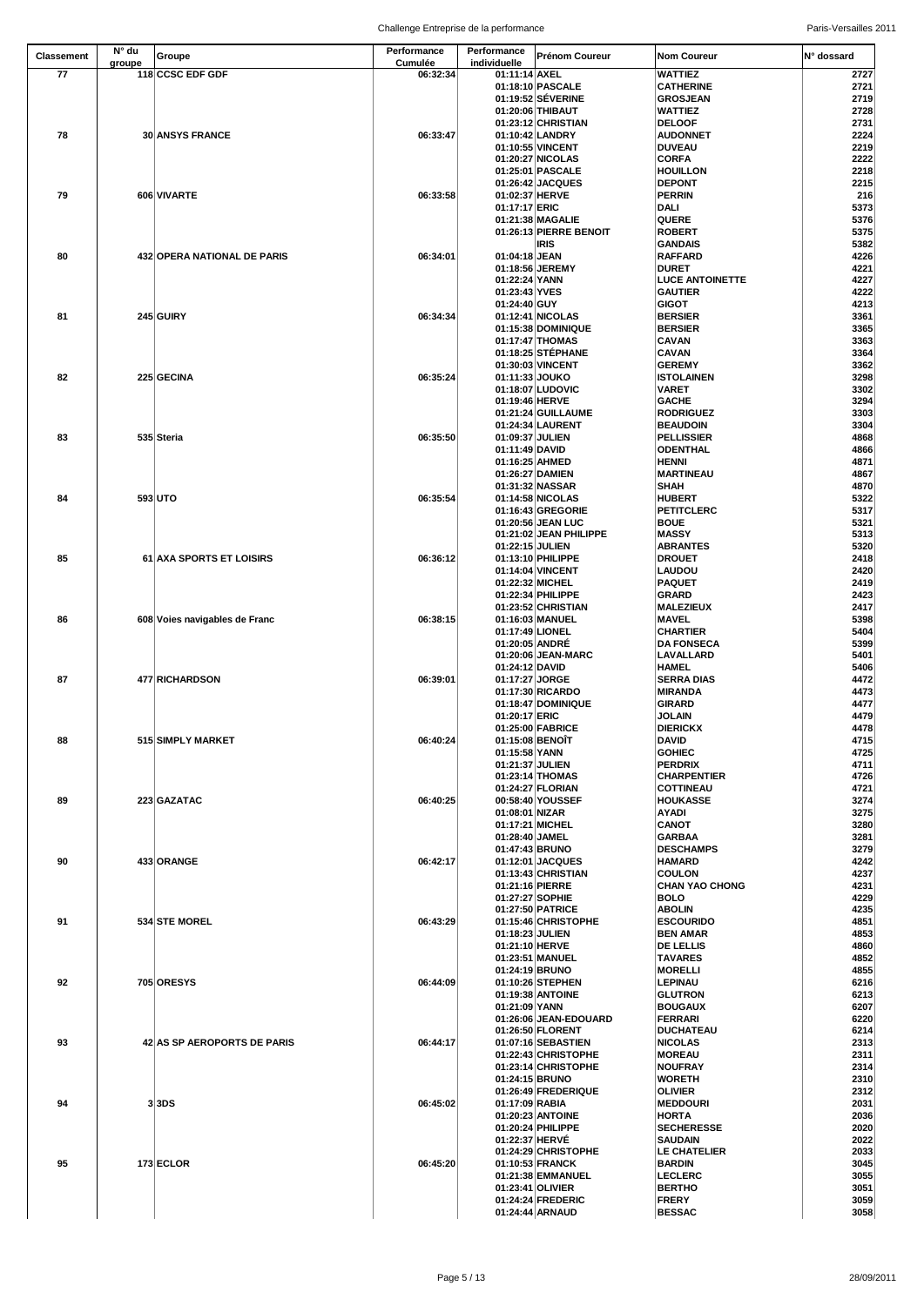| <b>Classement</b> | $N^{\circ}$ du | Groupe                        | Performance                | Performance                       | <b>Prénom Coureur</b>                   | <b>Nom Coureur</b>                   | <b>N°</b> dossard |
|-------------------|----------------|-------------------------------|----------------------------|-----------------------------------|-----------------------------------------|--------------------------------------|-------------------|
| 77                | groupe         | 118 CCSC EDF GDF              | <b>Cumulée</b><br>06:32:34 | individuelle<br>01:11:14 AXEL     |                                         | <b>WATTIEZ</b>                       | 2727              |
|                   |                |                               |                            |                                   | 01:18:10 PASCALE                        | <b>CATHERINE</b>                     | 2721              |
|                   |                |                               |                            |                                   | 01:19:52 SÉVERINE                       | <b>GROSJEAN</b>                      | 2719              |
|                   |                |                               |                            |                                   | 01:20:06 THIBAUT                        | <b>WATTIEZ</b>                       | 2728              |
|                   |                |                               |                            |                                   | 01:23:12 CHRISTIAN                      | <b>DELOOF</b>                        | 2731              |
| 78                |                | <b>30 ANSYS FRANCE</b>        | 06:33:47                   |                                   | 01:10:42 LANDRY                         | <b>AUDONNET</b>                      | 2224              |
|                   |                |                               |                            |                                   | 01:10:55 VINCENT<br>01:20:27 NICOLAS    | <b>DUVEAU</b><br><b>CORFA</b>        | 2219              |
|                   |                |                               |                            |                                   | 01:25:01 PASCALE                        | <b>HOUILLON</b>                      | 2222<br>2218      |
|                   |                |                               |                            |                                   | 01:26:42 JACQUES                        | <b>DEPONT</b>                        | 2215              |
| 79                |                | 606 VIVARTE                   | 06:33:58                   | 01:02:37 HERVE                    |                                         | <b>PERRIN</b>                        | 216               |
|                   |                |                               |                            | 01:17:17 ERIC                     |                                         | DALI                                 | 5373              |
|                   |                |                               |                            |                                   | 01:21:38 MAGALIE                        | <b>QUERE</b>                         | 5376              |
|                   |                |                               |                            |                                   | 01:26:13 PIERRE BENOIT                  | <b>ROBERT</b>                        | 5375              |
| 80                |                | 432 OPERA NATIONAL DE PARIS   | 06:34:01                   | 01:04:18 JEAN                     | <b>IRIS</b>                             | <b>GANDAIS</b><br><b>RAFFARD</b>     | 5382<br>4226      |
|                   |                |                               |                            |                                   | 01:18:56 JEREMY                         | <b>DURET</b>                         | 4221              |
|                   |                |                               |                            | 01:22:24 YANN                     |                                         | <b>LUCE ANTOINETTE</b>               | 4227              |
|                   |                |                               |                            | 01:23:43 YVES                     |                                         | <b>GAUTIER</b>                       | 4222              |
|                   |                |                               |                            | 01:24:40 GUY                      |                                         | <b>GIGOT</b>                         | 4213              |
| 81                |                | 245 GUIRY                     | 06:34:34                   |                                   | 01:12:41 NICOLAS                        | <b>BERSIER</b>                       | 3361              |
|                   |                |                               |                            |                                   | 01:15:38 DOMINIQUE                      | <b>BERSIER</b>                       | 3365              |
|                   |                |                               |                            |                                   | 01:17:47 THOMAS<br>01:18:25 STÉPHANE    | <b>CAVAN</b><br><b>CAVAN</b>         | 3363<br>3364      |
|                   |                |                               |                            |                                   | 01:30:03 VINCENT                        | <b>GEREMY</b>                        | 3362              |
| 82                |                | 225 GECINA                    | 06:35:24                   | 01:11:33 JOUKO                    |                                         | <b>ISTOLAINEN</b>                    | 3298              |
|                   |                |                               |                            |                                   | 01:18:07 LUDOVIC                        | <b>VARET</b>                         | 3302              |
|                   |                |                               |                            | 01:19:46 HERVE                    |                                         | <b>GACHE</b>                         | 3294              |
|                   |                |                               |                            |                                   | 01:21:24 GUILLAUME                      | <b>RODRIGUEZ</b>                     | 3303              |
|                   |                |                               |                            |                                   | 01:24:34 LAURENT                        | <b>BEAUDOIN</b>                      | 3304              |
| 83                |                | 535 Steria                    | 06:35:50                   | 01:09:37 JULIEN<br>01:11:49 DAVID |                                         | <b>PELLISSIER</b><br><b>ODENTHAL</b> | 4868<br>4866      |
|                   |                |                               |                            | 01:16:25 AHMED                    |                                         | <b>HENNI</b>                         | 4871              |
|                   |                |                               |                            |                                   | 01:26:27 DAMIEN                         | <b>MARTINEAU</b>                     | 4867              |
|                   |                |                               |                            |                                   | 01:31:32 NASSAR                         | <b>SHAH</b>                          | 4870              |
| 84                |                | $593$ UTO                     | 06:35:54                   |                                   | 01:14:58 NICOLAS                        | <b>HUBERT</b>                        | 5322              |
|                   |                |                               |                            |                                   | 01:16:43 GREGORIE                       | <b>PETITCLERC</b>                    | 5317              |
|                   |                |                               |                            |                                   | 01:20:56 JEAN LUC                       | <b>BOUE</b>                          | 5321              |
|                   |                |                               |                            | 01:22:15 JULIEN                   | 01:21:02 JEAN PHILIPPE                  | <b>MASSY</b><br><b>ABRANTES</b>      | 5313<br>5320      |
| 85                |                | 61 AXA SPORTS ET LOISIRS      | 06:36:12                   |                                   | 01:13:10 PHILIPPE                       | <b>DROUET</b>                        | 2418              |
|                   |                |                               |                            |                                   | 01:14:04 VINCENT                        | <b>LAUDOU</b>                        | 2420              |
|                   |                |                               |                            |                                   | 01:22:32 MICHEL                         | <b>PAQUET</b>                        | 2419              |
|                   |                |                               |                            |                                   | 01:22:34 PHILIPPE                       | GRARD                                | 2423              |
|                   |                |                               |                            |                                   | 01:23:52 CHRISTIAN                      | <b>MALEZIEUX</b>                     | 2417              |
| 86                |                | 608 Voies navigables de Franc | 06:38:15                   |                                   | 01:16:03 MANUEL                         | <b>MAVEL</b>                         | 5398              |
|                   |                |                               |                            | 01:17:49 LIONEL<br>01:20:05 ANDRÉ |                                         | <b>CHARTIER</b><br><b>DA FONSECA</b> | 5404<br>5399      |
|                   |                |                               |                            |                                   | 01:20:06 JEAN-MARC                      | <b>LAVALLARD</b>                     | 5401              |
|                   |                |                               |                            | 01:24:12 DAVID                    |                                         | <b>HAMEL</b>                         | 5406              |
| 87                |                | 477 RICHARDSON                | 06:39:01                   | 01:17:27 JORGE                    |                                         | <b>SERRA DIAS</b>                    | 4472              |
|                   |                |                               |                            |                                   | 01:17:30 RICARDO                        | <b>MIRANDA</b>                       | 4473              |
|                   |                |                               |                            |                                   | 01:18:47 DOMINIQUE                      | <b>GIRARD</b>                        | 4477              |
|                   |                |                               |                            | 01:20:17 ERIC                     |                                         | <b>JOLAIN</b>                        | 4479              |
| 88                |                | 515 SIMPLY MARKET             | 06:40:24                   |                                   | 01:25:00 FABRICE<br>01:15:08 BENOÎT     | <b>DIERICKX</b><br><b>DAVID</b>      | 4478<br>4715      |
|                   |                |                               |                            | 01:15:58 YANN                     |                                         | <b>GOHIEC</b>                        | 4725              |
|                   |                |                               |                            | 01:21:37 JULIEN                   |                                         | <b>PERDRIX</b>                       | 4711              |
|                   |                |                               |                            |                                   | 01:23:14 THOMAS                         | <b>CHARPENTIER</b>                   | 4726              |
|                   |                |                               |                            |                                   | 01:24:27 FLORIAN                        | <b>COTTINEAU</b>                     | 4721              |
| 89                |                | 223 GAZATAC                   | 06:40:25                   |                                   | 00:58:40 YOUSSEF                        | <b>HOUKASSE</b>                      | 3274              |
|                   |                |                               |                            | 01:08:01 NIZAR                    |                                         | <b>AYADI</b>                         | 3275              |
|                   |                |                               |                            | 01:28:40 JAMEL                    | 01:17:21 MICHEL                         | <b>CANOT</b><br><b>GARBAA</b>        | 3280<br>3281      |
|                   |                |                               |                            | 01:47:43 BRUNO                    |                                         | <b>DESCHAMPS</b>                     | 3279              |
| 90                |                | 433 ORANGE                    | 06:42:17                   |                                   | 01:12:01 JACQUES                        | <b>HAMARD</b>                        | 4242              |
|                   |                |                               |                            |                                   | 01:13:43 CHRISTIAN                      | <b>COULON</b>                        | 4237              |
|                   |                |                               |                            | 01:21:16 PIERRE                   |                                         | <b>CHAN YAO CHONG</b>                | 4231              |
|                   |                |                               |                            | 01:27:27 SOPHIE                   |                                         | <b>BOLO</b>                          | 4229              |
| 91                |                | 534 STE MOREL                 | 06:43:29                   |                                   | 01:27:50 PATRICE<br>01:15:46 CHRISTOPHE | <b>ABOLIN</b><br><b>ESCOURIDO</b>    | 4235<br>4851      |
|                   |                |                               |                            | 01:18:23 JULIEN                   |                                         | <b>BEN AMAR</b>                      | 4853              |
|                   |                |                               |                            | 01:21:10 HERVE                    |                                         | <b>DE LELLIS</b>                     | 4860              |
|                   |                |                               |                            |                                   | 01:23:51 MANUEL                         | <b>TAVARES</b>                       | 4852              |
|                   |                |                               |                            | 01:24:19 BRUNO                    |                                         | <b>MORELLI</b>                       | 4855              |
| 92                |                | 705 ORESYS                    | 06:44:09                   |                                   | 01:10:26 STEPHEN                        | <b>LEPINAU</b>                       | 6216              |
|                   |                |                               |                            |                                   | 01:19:38 ANTOINE                        | <b>GLUTRON</b>                       | 6213              |
|                   |                |                               |                            | 01:21:09 YANN                     | 01:26:06 JEAN-EDOUARD                   | <b>BOUGAUX</b><br>FERRARI            | 6207<br>6220      |
|                   |                |                               |                            |                                   | 01:26:50 FLORENT                        | <b>DUCHATEAU</b>                     | 6214              |
| 93                |                | 42 AS SP AEROPORTS DE PARIS   | 06:44:17                   |                                   | 01:07:16 SEBASTIEN                      | <b>NICOLAS</b>                       | 2313              |
|                   |                |                               |                            |                                   | 01:22:43 CHRISTOPHE                     | <b>MOREAU</b>                        | 2311              |
|                   |                |                               |                            |                                   | 01:23:14 CHRISTOPHE                     | NOUFRAY                              | 2314              |
|                   |                |                               |                            | 01:24:15 BRUNO                    |                                         | <b>WORETH</b>                        | 2310              |
|                   |                |                               |                            |                                   | 01:26:49 FREDERIQUE                     | <b>OLIVIER</b>                       | 2312              |
| 94                |                | 3 3DS                         | 06:45:02                   | 01:17:09 RABIA                    | 01:20:23 ANTOINE                        | <b>MEDDOURI</b><br><b>HORTA</b>      | 2031<br>2036      |
|                   |                |                               |                            |                                   | 01:20:24 PHILIPPE                       | <b>SECHERESSE</b>                    | 2020              |
|                   |                |                               |                            | 01:22:37 HERVÉ                    |                                         | <b>SAUDAIN</b>                       | 2022              |
|                   |                |                               |                            |                                   | 01:24:29 CHRISTOPHE                     | <b>LE CHATELIER</b>                  | 2033              |
| 95                |                | $173$ ECLOR                   | 06:45:20                   |                                   | 01:10:53 FRANCK                         | <b>BARDIN</b>                        | 3045              |
|                   |                |                               |                            |                                   | 01:21:38 EMMANUEL                       | <b>LECLERC</b>                       | 3055              |
|                   |                |                               |                            |                                   | 01:23:41 OLIVIER                        | <b>BERTHO</b>                        | 3051              |
|                   |                |                               |                            |                                   | 01:24:24 FREDERIC<br>01:24:44 ARNAUD    | FRERY<br><b>BESSAC</b>               | 3059<br>3058      |
|                   |                |                               |                            |                                   |                                         |                                      |                   |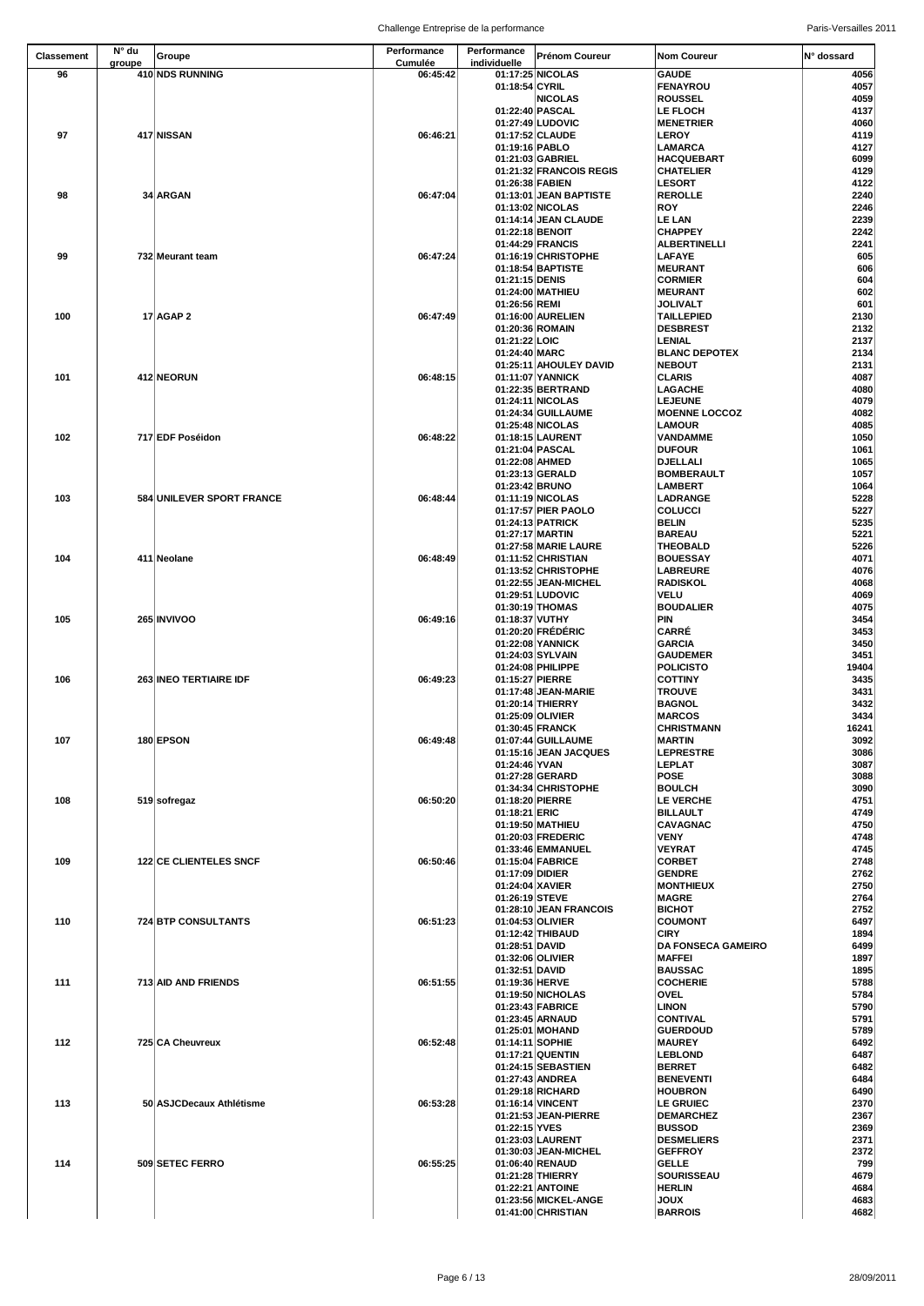| <b>Classement</b> | N° du  | Groupe                        | <b>Performance</b>         | Performance                        | <b>Prénom Coureur</b>                       | <b>Nom Coureur</b>                    | N° dossard    |
|-------------------|--------|-------------------------------|----------------------------|------------------------------------|---------------------------------------------|---------------------------------------|---------------|
| 96                | groupe | 410 NDS RUNNING               | <b>Cumulée</b><br>06:45:42 | individuelle                       | 01:17:25 NICOLAS                            | <b>GAUDE</b>                          | 4056          |
|                   |        |                               |                            | 01:18:54 CYRIL                     |                                             | <b>FENAYROU</b>                       | 4057          |
|                   |        |                               |                            |                                    | <b>NICOLAS</b>                              | <b>ROUSSEL</b>                        | 4059          |
|                   |        |                               |                            |                                    | 01:22:40 PASCAL<br>01:27:49 LUDOVIC         | <b>LE FLOCH</b><br><b>MENETRIER</b>   | 4137<br>4060  |
| 97                |        | 417 NISSAN                    | 06:46:21                   |                                    | 01:17:52 CLAUDE                             | <b>LEROY</b>                          | 4119          |
|                   |        |                               |                            | 01:19:16 PABLO                     |                                             | <b>LAMARCA</b>                        | 4127          |
|                   |        |                               |                            |                                    | 01:21:03 GABRIEL<br>01:21:32 FRANCOIS REGIS | <b>HACQUEBART</b><br><b>CHATELIER</b> | 6099<br>4129  |
|                   |        |                               |                            | 01:26:38 FABIEN                    |                                             | <b>LESORT</b>                         | 4122          |
| 98                |        | 34 ARGAN                      | 06:47:04                   |                                    | 01:13:01 JEAN BAPTISTE                      | <b>REROLLE</b>                        | 2240          |
|                   |        |                               |                            |                                    | 01:13:02 NICOLAS                            | <b>ROY</b>                            | 2246          |
|                   |        |                               |                            |                                    | 01:14:14 JEAN CLAUDE<br>01:22:18 BENOIT     | <b>LE LAN</b><br><b>CHAPPEY</b>       | 2239<br>2242  |
|                   |        |                               |                            |                                    | 01:44:29 FRANCIS                            | <b>ALBERTINELLI</b>                   | 2241          |
| 99                |        | 732 Meurant team              | 06:47:24                   |                                    | 01:16:19 CHRISTOPHE                         | <b>LAFAYE</b>                         | 605           |
|                   |        |                               |                            | 01:21:15 DENIS                     | 01:18:54 BAPTISTE                           | <b>MEURANT</b><br><b>CORMIER</b>      | 606<br>604    |
|                   |        |                               |                            |                                    | 01:24:00 MATHIEU                            | <b>MEURANT</b>                        | 602           |
|                   |        |                               |                            | 01:26:56 REMI                      |                                             | <b>JOLIVALT</b>                       | 601           |
| 100               |        | $17$ AGAP 2                   | 06:47:49                   |                                    | 01:16:00 AURELIEN                           | <b>TAILLEPIED</b>                     | 2130          |
|                   |        |                               |                            | 01:21:22 LOIC                      | 01:20:36 ROMAIN                             | <b>DESBREST</b><br><b>LENIAL</b>      | 2132<br>2137  |
|                   |        |                               |                            | 01:24:40 MARC                      |                                             | <b>BLANC DEPOTEX</b>                  | 2134          |
|                   |        |                               |                            |                                    | 01:25:11 AHOULEY DAVID                      | <b>NEBOUT</b>                         | 2131          |
| 101               |        | 412 NEORUN                    | 06:48:15                   |                                    | 01:11:07 YANNICK<br>01:22:35 BERTRAND       | <b>CLARIS</b><br><b>LAGACHE</b>       | 4087          |
|                   |        |                               |                            |                                    | 01:24:11 NICOLAS                            | <b>LEJEUNE</b>                        | 4080<br>4079  |
|                   |        |                               |                            |                                    | 01:24:34 GUILLAUME                          | <b>MOENNE LOCCOZ</b>                  | 4082          |
|                   |        |                               |                            |                                    | 01:25:48 NICOLAS                            | <b>LAMOUR</b>                         | 4085          |
| 102               |        | 717 EDF Poséidon              | 06:48:22                   |                                    | 01:18:15 LAURENT<br>01:21:04 PASCAL         | <b>VANDAMME</b><br><b>DUFOUR</b>      | 1050<br>1061  |
|                   |        |                               |                            | 01:22:08 AHMED                     |                                             | <b>DJELLALI</b>                       | 1065          |
|                   |        |                               |                            |                                    | 01:23:13 GERALD                             | <b>BOMBERAULT</b>                     | 1057          |
| 103               |        | 584 UNILEVER SPORT FRANCE     | 06:48:44                   | 01:23:42 BRUNO                     | 01:11:19 NICOLAS                            | <b>LAMBERT</b><br><b>LADRANGE</b>     | 1064<br>5228  |
|                   |        |                               |                            |                                    | 01:17:57 PIER PAOLO                         | <b>COLUCCI</b>                        | 5227          |
|                   |        |                               |                            |                                    | 01:24:13 PATRICK                            | <b>BELIN</b>                          | 5235          |
|                   |        |                               |                            |                                    | 01:27:17 MARTIN                             | <b>BAREAU</b>                         | 5221          |
| 104               |        | 411 Neolane                   | 06:48:49                   |                                    | 01:27:58 MARIE LAURE<br>01:11:52 CHRISTIAN  | <b>THEOBALD</b><br><b>BOUESSAY</b>    | 5226<br>4071  |
|                   |        |                               |                            |                                    | 01:13:52 CHRISTOPHE                         | <b>LABREURE</b>                       | 4076          |
|                   |        |                               |                            |                                    | 01:22:55 JEAN-MICHEL                        | <b>RADISKOL</b>                       | 4068          |
|                   |        |                               |                            |                                    | 01:29:51 LUDOVIC                            | <b>VELU</b>                           | 4069          |
| 105               |        | <b>265 INVIVOO</b>            | 06:49:16                   | 01:18:37 VUTHY                     | 01:30:19 THOMAS                             | <b>BOUDALIER</b><br><b>PIN</b>        | 4075<br>3454  |
|                   |        |                               |                            |                                    | 01:20:20 FRÉDÉRIC                           | <b>CARRÉ</b>                          | 3453          |
|                   |        |                               |                            |                                    | 01:22:08 YANNICK                            | <b>GARCIA</b>                         | 3450          |
|                   |        |                               |                            |                                    | 01:24:03 SYLVAIN<br>01:24:08 PHILIPPE       | <b>GAUDEMER</b><br><b>POLICISTO</b>   | 3451<br>19404 |
| 106               |        | 263 INEO TERTIAIRE IDF        | 06:49:23                   | 01:15:27 PIERRE                    |                                             | <b>COTTINY</b>                        | 3435          |
|                   |        |                               |                            |                                    | 01:17:48 JEAN-MARIE                         | <b>TROUVE</b>                         | 3431          |
|                   |        |                               |                            |                                    | 01:20:14 THIERRY                            | <b>BAGNOL</b>                         | 3432          |
|                   |        |                               |                            |                                    | 01:25:09 OLIVIER<br>01:30:45 FRANCK         | <b>MARCOS</b><br><b>CHRISTMANN</b>    | 3434<br>16241 |
| 107               |        | 180 EPSON                     | 06:49:48                   |                                    | 01:07:44 GUILLAUME                          | <b>MARTIN</b>                         | 3092          |
|                   |        |                               |                            |                                    | 01:15:16 JEAN JACQUES                       | <b>LEPRESTRE</b>                      | 3086          |
|                   |        |                               |                            | 01:24:46 YVAN                      | 01:27:28 GERARD                             | <b>LEPLAT</b><br><b>POSE</b>          | 3087<br>3088  |
|                   |        |                               |                            |                                    | 01:34:34 CHRISTOPHE                         | <b>BOULCH</b>                         | 3090          |
| 108               |        | 519 sofregaz                  | 06:50:20                   |                                    | 01:18:20 PIERRE                             | <b>LE VERCHE</b>                      | 4751          |
|                   |        |                               |                            | 01:18:21 ERIC                      | 01:19:50 MATHIEU                            | <b>BILLAULT</b><br><b>CAVAGNAC</b>    | 4749<br>4750  |
|                   |        |                               |                            |                                    | 01:20:03 FREDERIC                           | <b>VENY</b>                           | 4748          |
|                   |        |                               |                            |                                    | 01:33:46 EMMANUEL                           | <b>VEYRAT</b>                         | 4745          |
| 109               |        | <b>122 CE CLIENTELES SNCF</b> | 06:50:46                   |                                    | 01:15:04 FABRICE                            | <b>CORBET</b>                         | 2748          |
|                   |        |                               |                            | 01:17:09 DIDIER<br>01:24:04 XAVIER |                                             | <b>GENDRE</b><br><b>MONTHIEUX</b>     | 2762<br>2750  |
|                   |        |                               |                            | 01:26:19 STEVE                     |                                             | <b>MAGRE</b>                          | 2764          |
|                   |        |                               |                            |                                    | 01:28:10 JEAN FRANCOIS                      | <b>BICHOT</b>                         | 2752          |
| 110               |        | 724 BTP CONSULTANTS           | 06:51:23                   |                                    | 01:04:53 OLIVIER<br>01:12:42 THIBAUD        | <b>COUMONT</b><br><b>CIRY</b>         | 6497<br>1894  |
|                   |        |                               |                            | 01:28:51 DAVID                     |                                             | <b>DA FONSECA GAMEIRO</b>             | 6499          |
|                   |        |                               |                            |                                    | 01:32:06 OLIVIER                            | <b>MAFFEI</b>                         | 1897          |
| 111               |        | 713 AID AND FRIENDS           | 06:51:55                   | 01:32:51 DAVID<br>01:19:36 HERVE   |                                             | <b>BAUSSAC</b><br><b>COCHERIE</b>     | 1895<br>5788  |
|                   |        |                               |                            |                                    | 01:19:50 NICHOLAS                           | <b>OVEL</b>                           | 5784          |
|                   |        |                               |                            |                                    | 01:23:43 FABRICE                            | <b>LINON</b>                          | 5790          |
|                   |        |                               |                            |                                    | 01:23:45 ARNAUD                             | <b>CONTIVAL</b>                       | 5791          |
| 112               |        | 725 CA Cheuvreux              | 06:52:48                   |                                    | 01:25:01 MOHAND<br>01:14:11 SOPHIE          | <b>GUERDOUD</b><br><b>MAUREY</b>      | 5789<br>6492  |
|                   |        |                               |                            |                                    | 01:17:21 QUENTIN                            | <b>LEBLOND</b>                        | 6487          |
|                   |        |                               |                            |                                    | 01:24:15 SEBASTIEN                          | <b>BERRET</b>                         | 6482          |
|                   |        |                               |                            |                                    | 01:27:43 ANDREA<br>01:29:18 RICHARD         | <b>BENEVENTI</b><br><b>HOUBRON</b>    | 6484<br>6490  |
| 113               |        | 50 ASJCDecaux Athlétisme      | 06:53:28                   |                                    | 01:16:14 VINCENT                            | <b>LE GRUIEC</b>                      | 2370          |
|                   |        |                               |                            |                                    | 01:21:53 JEAN-PIERRE                        | <b>DEMARCHEZ</b>                      | 2367          |
|                   |        |                               |                            | 01:22:15 YVES                      | 01:23:03 LAURENT                            | <b>BUSSOD</b><br><b>DESMELIERS</b>    | 2369<br>2371  |
|                   |        |                               |                            |                                    | 01:30:03 JEAN-MICHEL                        | <b>GEFFROY</b>                        | 2372          |
| 114               |        | 509 SETEC FERRO               | 06:55:25                   |                                    | 01:06:40 RENAUD                             | <b>GELLE</b>                          | 799           |
|                   |        |                               |                            |                                    | 01:21:28 THIERRY                            | <b>SOURISSEAU</b>                     | 4679          |
|                   |        |                               |                            |                                    | 01:22:21 ANTOINE<br>01:23:56 MICKEL-ANGE    | <b>HERLIN</b><br><b>JOUX</b>          | 4684<br>4683  |
|                   |        |                               |                            |                                    | 01:41:00 CHRISTIAN                          | <b>BARROIS</b>                        | 4682          |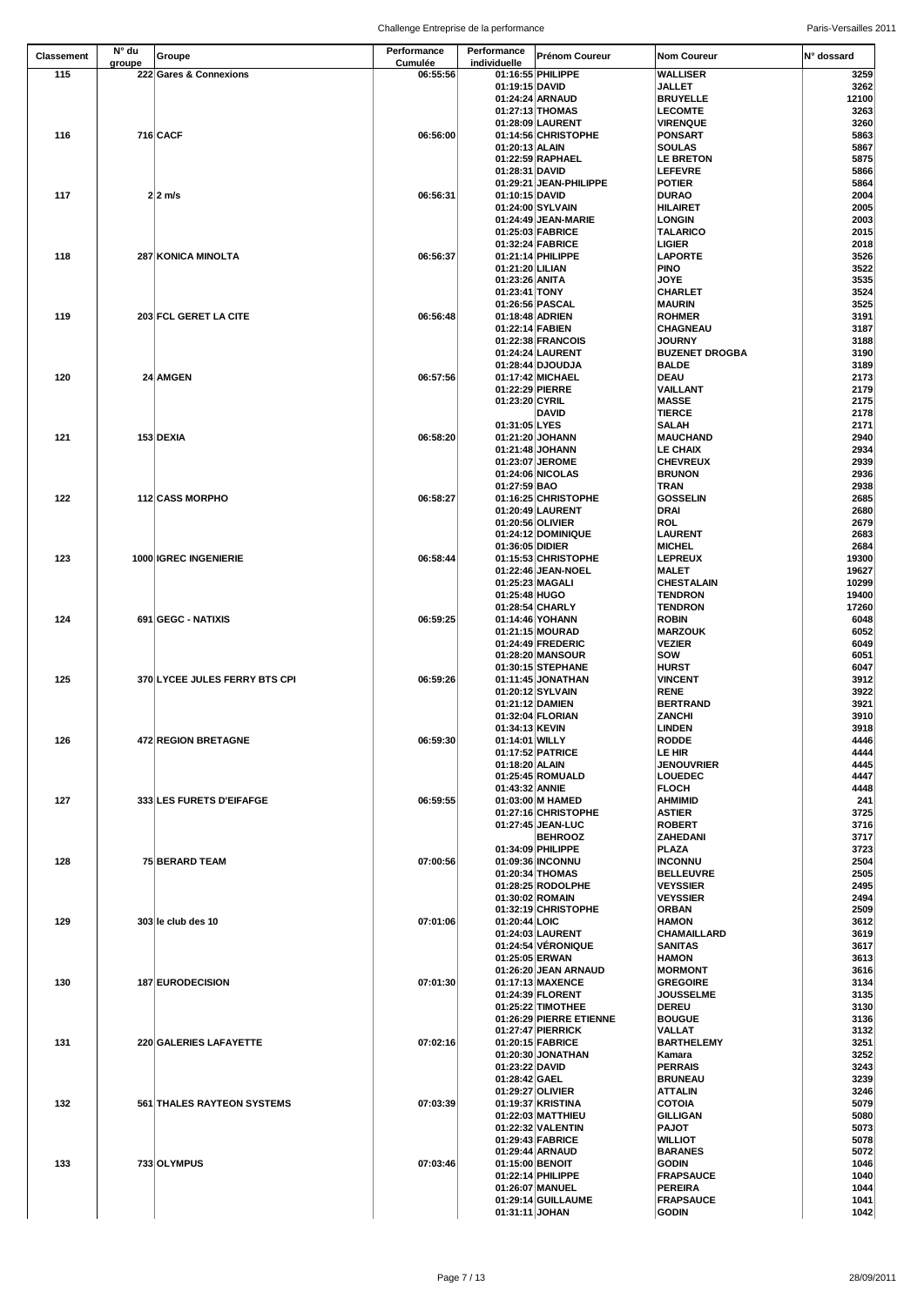| <b>Classement</b> | N° du  | Groupe                            | Performance                | Performance     | <b>Prénom Coureur</b>                    | <b>Nom Coureur</b>                 | I <sup>o</sup> dossard |
|-------------------|--------|-----------------------------------|----------------------------|-----------------|------------------------------------------|------------------------------------|------------------------|
| 115               | groupe | 222 Gares & Connexions            | <b>Cumulée</b><br>06:55:56 | individuelle    | 01:16:55 PHILIPPE                        | <b>WALLISER</b>                    | 3259                   |
|                   |        |                                   |                            | 01:19:15 DAVID  |                                          | <b>JALLET</b>                      | 3262                   |
|                   |        |                                   |                            |                 | 01:24:24 ARNAUD                          | <b>BRUYELLE</b>                    | 12100                  |
|                   |        |                                   |                            |                 | 01:27:13 THOMAS<br>01:28:09 LAURENT      | <b>LECOMTE</b><br><b>VIRENQUE</b>  | 3263                   |
| 116               |        | <b>716 CACF</b>                   | 06:56:00                   |                 | 01:14:56 CHRISTOPHE                      | PONSART                            | 3260<br>5863           |
|                   |        |                                   |                            | 01:20:13 ALAIN  |                                          | <b>SOULAS</b>                      | 5867                   |
|                   |        |                                   |                            |                 | 01:22:59 RAPHAEL                         | <b>LE BRETON</b>                   | 5875                   |
|                   |        |                                   |                            | 01:28:31 DAVID  |                                          | <b>LEFEVRE</b>                     | 5866                   |
| 117               |        | $2 2$ m/s                         | 06:56:31                   | 01:10:15 DAVID  | 01:29:21 JEAN-PHILIPPE                   | <b>POTIER</b><br><b>DURAO</b>      | 5864<br>2004           |
|                   |        |                                   |                            |                 | 01:24:00 SYLVAIN                         | <b>HILAIRET</b>                    | 2005                   |
|                   |        |                                   |                            |                 | 01:24:49 JEAN-MARIE                      | <b>LONGIN</b>                      | 2003                   |
|                   |        |                                   |                            |                 | 01:25:03 FABRICE                         | <b>TALARICO</b>                    | 2015                   |
| 118               |        | 287 KONICA MINOLTA                | 06:56:37                   |                 | 01:32:24 FABRICE<br>01:21:14 PHILIPPE    | <b>LIGIER</b><br><b>LAPORTE</b>    | 2018<br>3526           |
|                   |        |                                   |                            | 01:21:20 LILIAN |                                          | <b>PINO</b>                        | 3522                   |
|                   |        |                                   |                            | 01:23:26 ANITA  |                                          | <b>JOYE</b>                        | 3535                   |
|                   |        |                                   |                            | 01:23:41 TONY   |                                          | <b>CHARLET</b>                     | 3524                   |
|                   |        |                                   |                            |                 | 01:26:56 PASCAL                          | <b>MAURIN</b>                      | 3525                   |
| 119               |        | 203 FCL GERET LA CITE             | 06:56:48                   |                 | 01:18:48 ADRIEN<br>01:22:14 FABIEN       | <b>ROHMER</b><br><b>CHAGNEAU</b>   | 3191<br>3187           |
|                   |        |                                   |                            |                 | 01:22:38 FRANCOIS                        | <b>JOURNY</b>                      | 3188                   |
|                   |        |                                   |                            |                 | 01:24:24 LAURENT                         | <b>BUZENET DROGBA</b>              | 3190                   |
|                   |        |                                   |                            |                 | 01:28:44 DJOUDJA                         | <b>BALDE</b>                       | 3189                   |
| 120               |        | 24 AMGEN                          | 06:57:56                   |                 | 01:17:42 MICHAEL                         | <b>DEAU</b>                        | 2173                   |
|                   |        |                                   |                            | 01:23:20 CYRIL  | 01:22:29 PIERRE                          | <b>VAILLANT</b><br><b>MASSE</b>    | 2179<br>2175           |
|                   |        |                                   |                            |                 | <b>DAVID</b>                             | <b>TIERCE</b>                      | 2178                   |
|                   |        |                                   |                            | 01:31:05 LYES   |                                          | <b>SALAH</b>                       | 2171                   |
| 121               |        | 153 DEXIA                         | 06:58:20                   |                 | 01:21:20 JOHANN                          | <b>MAUCHAND</b>                    | 2940                   |
|                   |        |                                   |                            |                 | 01:21:48 JOHANN<br>01:23:07 JEROME       | <b>LE CHAIX</b><br><b>CHEVREUX</b> | 2934<br>2939           |
|                   |        |                                   |                            |                 | 01:24:06 NICOLAS                         | <b>BRUNON</b>                      | 2936                   |
|                   |        |                                   |                            | 01:27:59 BAO    |                                          | <b>TRAN</b>                        | 2938                   |
| 122               |        | <b>112 CASS MORPHO</b>            | 06:58:27                   |                 | 01:16:25 CHRISTOPHE                      | <b>GOSSELIN</b>                    | 2685                   |
|                   |        |                                   |                            |                 | 01:20:49 LAURENT                         | <b>DRAI</b>                        | 2680                   |
|                   |        |                                   |                            |                 | 01:20:56 OLIVIER<br>01:24:12 DOMINIQUE   | <b>ROL</b><br>LAURENT              | 2679<br>2683           |
|                   |        |                                   |                            | 01:36:05 DIDIER |                                          | <b>MICHEL</b>                      | 2684                   |
| 123               |        | <b>1000 IGREC INGENIERIE</b>      | 06:58:44                   |                 | 01:15:53 CHRISTOPHE                      | <b>LEPREUX</b>                     | 19300                  |
|                   |        |                                   |                            |                 | 01:22:46 JEAN-NOEL                       | <b>MALET</b>                       | 19627                  |
|                   |        |                                   |                            |                 | 01:25:23 MAGALI                          | <b>CHESTALAIN</b>                  | 10299                  |
|                   |        |                                   |                            | 01:25:48 HUGO   | 01:28:54 CHARLY                          | <b>TENDRON</b><br><b>TENDRON</b>   | 19400<br>17260         |
| 124               |        | 691 GEGC - NATIXIS                | 06:59:25                   |                 | 01:14:46 YOHANN                          | <b>ROBIN</b>                       | 6048                   |
|                   |        |                                   |                            |                 | 01:21:15 MOURAD                          | <b>MARZOUK</b>                     | 6052                   |
|                   |        |                                   |                            |                 | 01:24:49 FREDERIC                        | <b>VEZIER</b>                      | 6049                   |
|                   |        |                                   |                            |                 | 01:28:20 MANSOUR<br>01:30:15 STEPHANE    | <b>SOW</b><br><b>HURST</b>         | 6051<br>6047           |
| 125               |        | 370 LYCEE JULES FERRY BTS CPI     | 06:59:26                   |                 | 01:11:45 JONATHAN                        | <b>VINCENT</b>                     | 3912                   |
|                   |        |                                   |                            |                 | 01:20:12 SYLVAIN                         | <b>RENE</b>                        | 3922                   |
|                   |        |                                   |                            |                 | 01:21:12 DAMIEN                          | <b>BERTRAND</b>                    | 3921                   |
|                   |        |                                   |                            | 01:34:13 KEVIN  | 01:32:04 FLORIAN                         | <b>ZANCHI</b><br><b>LINDEN</b>     | 3910                   |
| 126               |        | 472 REGION BRETAGNE               | 06:59:30                   | 01:14:01 WILLY  |                                          | <b>RODDE</b>                       | 3918<br>4446           |
|                   |        |                                   |                            |                 | 01:17:52 PATRICE                         | LE HIR                             | 4444                   |
|                   |        |                                   |                            | 01:18:20 ALAIN  |                                          | <b>JENOUVRIER</b>                  | 4445                   |
|                   |        |                                   |                            |                 | 01:25:45 ROMUALD                         | <b>LOUEDEC</b>                     | 4447                   |
| 127               |        | 333 LES FURETS D'EIFAFGE          | 06:59:55                   | 01:43:32 ANNIE  | 01:03:00 M HAMED                         | <b>FLOCH</b><br><b>AHMIMID</b>     | 4448<br>241            |
|                   |        |                                   |                            |                 | 01:27:16 CHRISTOPHE                      | <b>ASTIER</b>                      | 3725                   |
|                   |        |                                   |                            |                 | 01:27:45 JEAN-LUC                        | <b>ROBERT</b>                      | 3716                   |
|                   |        |                                   |                            |                 | <b>BEHROOZ</b>                           | <b>ZAHEDANI</b>                    | 3717                   |
| 128               |        | <b>75 BERARD TEAM</b>             | 07:00:56                   |                 | 01:34:09 PHILIPPE<br>01:09:36 INCONNU    | PLAZA<br><b>INCONNU</b>            | 3723<br>2504           |
|                   |        |                                   |                            |                 | 01:20:34 THOMAS                          | <b>BELLEUVRE</b>                   | 2505                   |
|                   |        |                                   |                            |                 | 01:28:25 RODOLPHE                        | <b>VEYSSIER</b>                    | 2495                   |
|                   |        |                                   |                            |                 | 01:30:02 ROMAIN                          | <b>VEYSSIER</b>                    | 2494                   |
| 129               |        |                                   | 07:01:06                   | 01:20:44 LOIC   | 01:32:19 CHRISTOPHE                      | <b>ORBAN</b><br><b>HAMON</b>       | 2509<br>3612           |
|                   |        | 303 le club des 10                |                            |                 | 01:24:03 LAURENT                         | <b>CHAMAILLARD</b>                 | 3619                   |
|                   |        |                                   |                            |                 | 01:24:54 VÉRONIQUE                       | <b>SANITAS</b>                     | 3617                   |
|                   |        |                                   |                            |                 | 01:25:05 ERWAN                           | <b>HAMON</b>                       | 3613                   |
| 130               |        | 187 EURODECISION                  | 07:01:30                   |                 | 01:26:20 JEAN ARNAUD<br>01:17:13 MAXENCE | <b>MORMONT</b><br><b>GREGOIRE</b>  | 3616<br>3134           |
|                   |        |                                   |                            |                 | 01:24:39 FLORENT                         | <b>JOUSSELME</b>                   | 3135                   |
|                   |        |                                   |                            |                 | 01:25:22 TIMOTHEE                        | <b>DEREU</b>                       | 3130                   |
|                   |        |                                   |                            |                 | 01:26:29 PIERRE ETIENNE                  | <b>BOUGUE</b>                      | 3136                   |
|                   |        |                                   |                            |                 | 01:27:47 PIERRICK                        | <b>VALLAT</b>                      | 3132                   |
| 131               |        | 220 GALERIES LAFAYETTE            | 07:02:16                   |                 | 01:20:15 FABRICE<br>01:20:30 JONATHAN    | <b>BARTHELEMY</b><br>Kamara        | 3251<br>3252           |
|                   |        |                                   |                            | 01:23:22 DAVID  |                                          | <b>PERRAIS</b>                     | 3243                   |
|                   |        |                                   |                            | 01:28:42 GAEL   |                                          | <b>BRUNEAU</b>                     | 3239                   |
|                   |        |                                   |                            |                 | 01:29:27 OLIVIER                         | <b>ATTALIN</b>                     | 3246                   |
| 132               |        | <b>561 THALES RAYTEON SYSTEMS</b> | 07:03:39                   |                 | 01:19:37 KRISTINA<br>01:22:03 MATTHIEU   | <b>COTOIA</b><br><b>GILLIGAN</b>   | 5079<br>5080           |
|                   |        |                                   |                            |                 | 01:22:32 VALENTIN                        | <b>PAJOT</b>                       | 5073                   |
|                   |        |                                   |                            |                 | 01:29:43 FABRICE                         | <b>WILLIOT</b>                     | 5078                   |
|                   |        |                                   |                            |                 | 01:29:44 ARNAUD                          | <b>BARANES</b>                     | 5072                   |
| 133               |        | 733 OLYMPUS                       | 07:03:46                   |                 | 01:15:00 BENOIT                          | <b>GODIN</b>                       | 1046                   |
|                   |        |                                   |                            |                 | 01:22:14 PHILIPPE<br>01:26:07 MANUEL     | <b>FRAPSAUCE</b><br>PEREIRA        | 1040<br>1044           |
|                   |        |                                   |                            |                 | 01:29:14 GUILLAUME                       | <b>FRAPSAUCE</b>                   | 1041                   |
|                   |        |                                   |                            | 01:31:11 JOHAN  |                                          | <b>GODIN</b>                       | 1042                   |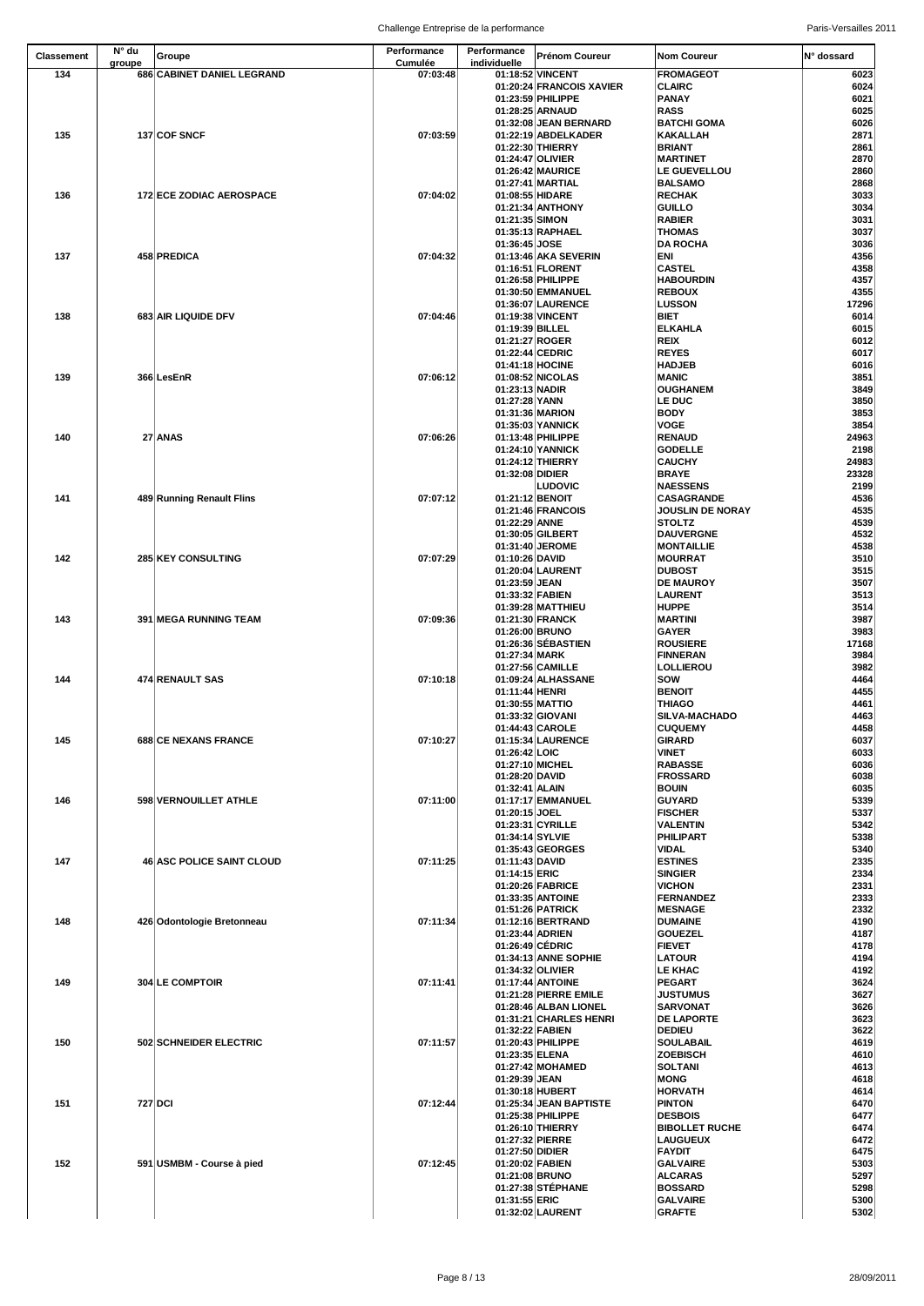| <b>Classement</b> | $N^{\circ}$ du | Groupe                           | <b>Performance</b>         | <b>Performance</b>                | <b>Prénom Coureur</b>                           | <b>Nom Coureur</b>                           | IN° dossard   |
|-------------------|----------------|----------------------------------|----------------------------|-----------------------------------|-------------------------------------------------|----------------------------------------------|---------------|
| 134               | groupe         | 686 CABINET DANIEL LEGRAND       | <b>Cumulée</b><br>07:03:48 | individuelle                      | 01:18:52 VINCENT                                | <b>FROMAGEOT</b>                             | 6023          |
|                   |                |                                  |                            |                                   | 01:20:24 FRANCOIS XAVIER                        | <b>CLAIRC</b>                                | 6024          |
|                   |                |                                  |                            |                                   | 01:23:59 PHILIPPE                               | <b>PANAY</b>                                 | 6021          |
|                   |                |                                  |                            |                                   | 01:28:25 ARNAUD                                 | <b>RASS</b>                                  | 6025          |
| 135               |                | 137 COF SNCF                     | 07:03:59                   |                                   | 01:32:08 JEAN BERNARD<br>01:22:19 ABDELKADER    | <b>BATCHI GOMA</b><br><b>KAKALLAH</b>        | 6026<br>2871  |
|                   |                |                                  |                            |                                   | 01:22:30 THIERRY                                | <b>BRIANT</b>                                | 2861          |
|                   |                |                                  |                            |                                   | 01:24:47 OLIVIER                                | <b>MARTINET</b>                              | 2870          |
|                   |                |                                  |                            |                                   | 01:26:42 MAURICE                                | <b>LE GUEVELLOU</b>                          | 2860          |
| 136               |                | <b>172 ECE ZODIAC AEROSPACE</b>  | 07:04:02                   | 01:08:55 HIDARE                   | 01:27:41 MARTIAL                                | <b>BALSAMO</b><br><b>RECHAK</b>              | 2868          |
|                   |                |                                  |                            |                                   | 01:21:34 ANTHONY                                | <b>GUILLO</b>                                | 3033<br>3034  |
|                   |                |                                  |                            | 01:21:35 SIMON                    |                                                 | <b>RABIER</b>                                | 3031          |
|                   |                |                                  |                            |                                   | 01:35:13 RAPHAEL                                | <b>THOMAS</b>                                | 3037          |
|                   |                |                                  |                            | 01:36:45 JOSE                     |                                                 | <b>DA ROCHA</b>                              | 3036          |
| 137               |                | 458 PREDICA                      | 07:04:32                   |                                   | 01:13:46 AKA SEVERIN<br>01:16:51 FLORENT        | <b>ENI</b><br><b>CASTEL</b>                  | 4356<br>4358  |
|                   |                |                                  |                            |                                   | 01:26:58 PHILIPPE                               | <b>HABOURDIN</b>                             | 4357          |
|                   |                |                                  |                            |                                   | 01:30:50 EMMANUEL                               | <b>REBOUX</b>                                | 4355          |
|                   |                |                                  |                            |                                   | 01:36:07 LAURENCE                               | <b>LUSSON</b>                                | 17296         |
| 138               |                | 683 AIR LIQUIDE DFV              | 07:04:46                   | 01:19:39 BILLEL                   | 01:19:38 VINCENT                                | <b>BIET</b><br><b>ELKAHLA</b>                | 6014<br>6015  |
|                   |                |                                  |                            | 01:21:27 ROGER                    |                                                 | <b>REIX</b>                                  | 6012          |
|                   |                |                                  |                            | 01:22:44 CEDRIC                   |                                                 | <b>REYES</b>                                 | 6017          |
|                   |                |                                  |                            | 01:41:18 HOCINE                   |                                                 | <b>HADJEB</b>                                | 6016          |
| 139               |                | 366 LesEnR                       | 07:06:12                   | 01:23:13 NADIR                    | 01:08:52 NICOLAS                                | <b>MANIC</b><br><b>OUGHANEM</b>              | 3851<br>3849  |
|                   |                |                                  |                            | 01:27:28 YANN                     |                                                 | <b>LE DUC</b>                                | 3850          |
|                   |                |                                  |                            |                                   | 01:31:36 MARION                                 | <b>BODY</b>                                  | 3853          |
|                   |                |                                  |                            |                                   | 01:35:03 YANNICK                                | <b>VOGE</b>                                  | 3854          |
| 140               |                | $27$ ANAS                        | 07:06:26                   |                                   | 01:13:48 PHILIPPE<br>01:24:10 YANNICK           | <b>RENAUD</b><br><b>GODELLE</b>              | 24963<br>2198 |
|                   |                |                                  |                            |                                   | 01:24:12 THIERRY                                | <b>CAUCHY</b>                                | 24983         |
|                   |                |                                  |                            | 01:32:08 DIDIER                   |                                                 | <b>BRAYE</b>                                 | 23328         |
|                   |                |                                  |                            |                                   | <b>LUDOVIC</b>                                  | <b>NAESSENS</b>                              | 2199          |
| 141               |                | 489 Running Renault Flins        | 07:07:12                   | 01:21:12 BENOIT                   | 01:21:46 FRANCOIS                               | <b>CASAGRANDE</b><br><b>JOUSLIN DE NORAY</b> | 4536<br>4535  |
|                   |                |                                  |                            | 01:22:29 ANNE                     |                                                 | <b>STOLTZ</b>                                | 4539          |
|                   |                |                                  |                            |                                   | 01:30:05 GILBERT                                | <b>DAUVERGNE</b>                             | 4532          |
|                   |                |                                  |                            |                                   | 01:31:40 JEROME                                 | <b>MONTAILLIE</b>                            | 4538          |
| 142               |                | 285 KEY CONSULTING               | 07:07:29                   | 01:10:26 DAVID                    | 01:20:04 LAURENT                                | <b>MOURRAT</b><br><b>DUBOST</b>              | 3510<br>3515  |
|                   |                |                                  |                            | 01:23:59 JEAN                     |                                                 | <b>DE MAUROY</b>                             | 3507          |
|                   |                |                                  |                            | 01:33:32 FABIEN                   |                                                 | <b>LAURENT</b>                               | 3513          |
| 143               |                | 391 MEGA RUNNING TEAM            |                            |                                   | 01:39:28 MATTHIEU                               | <b>HUPPE</b><br><b>MARTINI</b>               | 3514          |
|                   |                |                                  | 07:09:36                   | 01:26:00 BRUNO                    | 01:21:30 FRANCK                                 | <b>GAYER</b>                                 | 3987<br>3983  |
|                   |                |                                  |                            |                                   | 01:26:36 SÉBASTIEN                              | <b>ROUSIERE</b>                              | 17168         |
|                   |                |                                  |                            | 01:27:34 MARK                     |                                                 | <b>FINNERAN</b>                              | 3984          |
| 144               |                | 474 RENAULT SAS                  | 07:10:18                   |                                   | 01:27:56 CAMILLE<br>01:09:24 ALHASSANE          | <b>LOLLIEROU</b><br><b>SOW</b>               | 3982<br>4464  |
|                   |                |                                  |                            | 01:11:44 HENRI                    |                                                 | <b>BENOIT</b>                                | 4455          |
|                   |                |                                  |                            | 01:30:55 MATTIO                   |                                                 | <b>THIAGO</b>                                | 4461          |
|                   |                |                                  |                            |                                   | 01:33:32 GIOVANI                                | <b>SILVA-MACHADO</b>                         | 4463          |
| 145               |                | 688 CE NEXANS FRANCE             | 07:10:27                   |                                   | 01:44:43 CAROLE<br>01:15:34 LAURENCE            | <b>CUQUEMY</b><br>GIRARD                     | 4458<br>6037  |
|                   |                |                                  |                            | 01:26:42 LOIC                     |                                                 | <b>VINET</b>                                 | 6033          |
|                   |                |                                  |                            | 01:27:10 MICHEL                   |                                                 | <b>RABASSE</b>                               | 6036          |
|                   |                |                                  |                            | 01:28:20 DAVID<br>01:32:41 ALAIN  |                                                 | <b>FROSSARD</b><br><b>BOUIN</b>              | 6038<br>6035  |
| 146               |                | 598 VERNOUILLET ATHLE            | 07:11:00                   |                                   | 01:17:17 EMMANUEL                               | <b>GUYARD</b>                                | 5339          |
|                   |                |                                  |                            | 01:20:15 JOEL                     |                                                 | <b>FISCHER</b>                               | 5337          |
|                   |                |                                  |                            |                                   | 01:23:31 CYRILLE                                | <b>VALENTIN</b>                              | 5342          |
|                   |                |                                  |                            | 01:34:14 SYLVIE                   | 01:35:43 GEORGES                                | <b>PHILIPART</b><br><b>VIDAL</b>             | 5338<br>5340  |
| 147               |                | <b>46 ASC POLICE SAINT CLOUD</b> | 07:11:25                   | 01:11:43 DAVID                    |                                                 | <b>ESTINES</b>                               | 2335          |
|                   |                |                                  |                            | 01:14:15 ERIC                     |                                                 | <b>SINGIER</b>                               | 2334          |
|                   |                |                                  |                            |                                   | 01:20:26 FABRICE                                | <b>VICHON</b>                                | 2331          |
|                   |                |                                  |                            |                                   | 01:33:35 ANTOINE<br>01:51:26 PATRICK            | <b>FERNANDEZ</b><br><b>MESNAGE</b>           | 2333<br>2332  |
| 148               |                | 426 Odontologie Bretonneau       | 07:11:34                   |                                   | 01:12:16 BERTRAND                               | <b>DUMAINE</b>                               | 4190          |
|                   |                |                                  |                            | 01:23:44 ADRIEN                   |                                                 | <b>GOUEZEL</b>                               | 4187          |
|                   |                |                                  |                            | 01:26:49 CÉDRIC                   | 01:34:13 ANNE SOPHIE                            | <b>FIEVET</b><br><b>LATOUR</b>               | 4178<br>4194  |
|                   |                |                                  |                            |                                   | 01:34:32 OLIVIER                                | <b>LE KHAC</b>                               | 4192          |
| 149               |                | 304 LE COMPTOIR                  | 07:11:41                   |                                   | 01:17:44 ANTOINE                                | <b>PEGART</b>                                | 3624          |
|                   |                |                                  |                            |                                   | 01:21:28 PIERRE EMILE                           | <b>JUSTUMUS</b>                              | 3627          |
|                   |                |                                  |                            |                                   | 01:28:46 ALBAN LIONEL<br>01:31:21 CHARLES HENRI | <b>SARVONAT</b><br><b>DE LAPORTE</b>         | 3626<br>3623  |
|                   |                |                                  |                            | 01:32:22 FABIEN                   |                                                 | <b>DEDIEU</b>                                | 3622          |
| 150               |                | 502 SCHNEIDER ELECTRIC           | 07:11:57                   |                                   | 01:20:43 PHILIPPE                               | <b>SOULABAIL</b>                             | 4619          |
|                   |                |                                  |                            | 01:23:35 ELENA                    | 01:27:42 MOHAMED                                | <b>ZOEBISCH</b><br><b>SOLTANI</b>            | 4610<br>4613  |
|                   |                |                                  |                            | 01:29:39 JEAN                     |                                                 | <b>MONG</b>                                  | 4618          |
|                   |                |                                  |                            |                                   | 01:30:18 HUBERT                                 | <b>HORVATH</b>                               | 4614          |
| 151               |                | <b>727 DCI</b>                   | 07:12:44                   |                                   | 01:25:34 JEAN BAPTISTE                          | <b>PINTON</b>                                | 6470          |
|                   |                |                                  |                            |                                   | 01:25:38 PHILIPPE<br>01:26:10 THIERRY           | <b>DESBOIS</b><br><b>BIBOLLET RUCHE</b>      | 6477<br>6474  |
|                   |                |                                  |                            | 01:27:32 PIERRE                   |                                                 | <b>LAUGUEUX</b>                              | 6472          |
|                   |                |                                  |                            | 01:27:50 DIDIER                   |                                                 | <b>FAYDIT</b>                                | 6475          |
| 152               |                | 591 USMBM - Course à pied        | 07:12:45                   | 01:20:02 FABIEN<br>01:21:08 BRUNO |                                                 | <b>GALVAIRE</b><br><b>ALCARAS</b>            | 5303<br>5297  |
|                   |                |                                  |                            |                                   | 01:27:38 STÉPHANE                               | <b>BOSSARD</b>                               | 5298          |
|                   |                |                                  |                            | 01:31:55 ERIC                     |                                                 | <b>GALVAIRE</b>                              | 5300          |
|                   |                |                                  |                            |                                   | 01:32:02 LAURENT                                | <b>GRAFTE</b>                                | 5302          |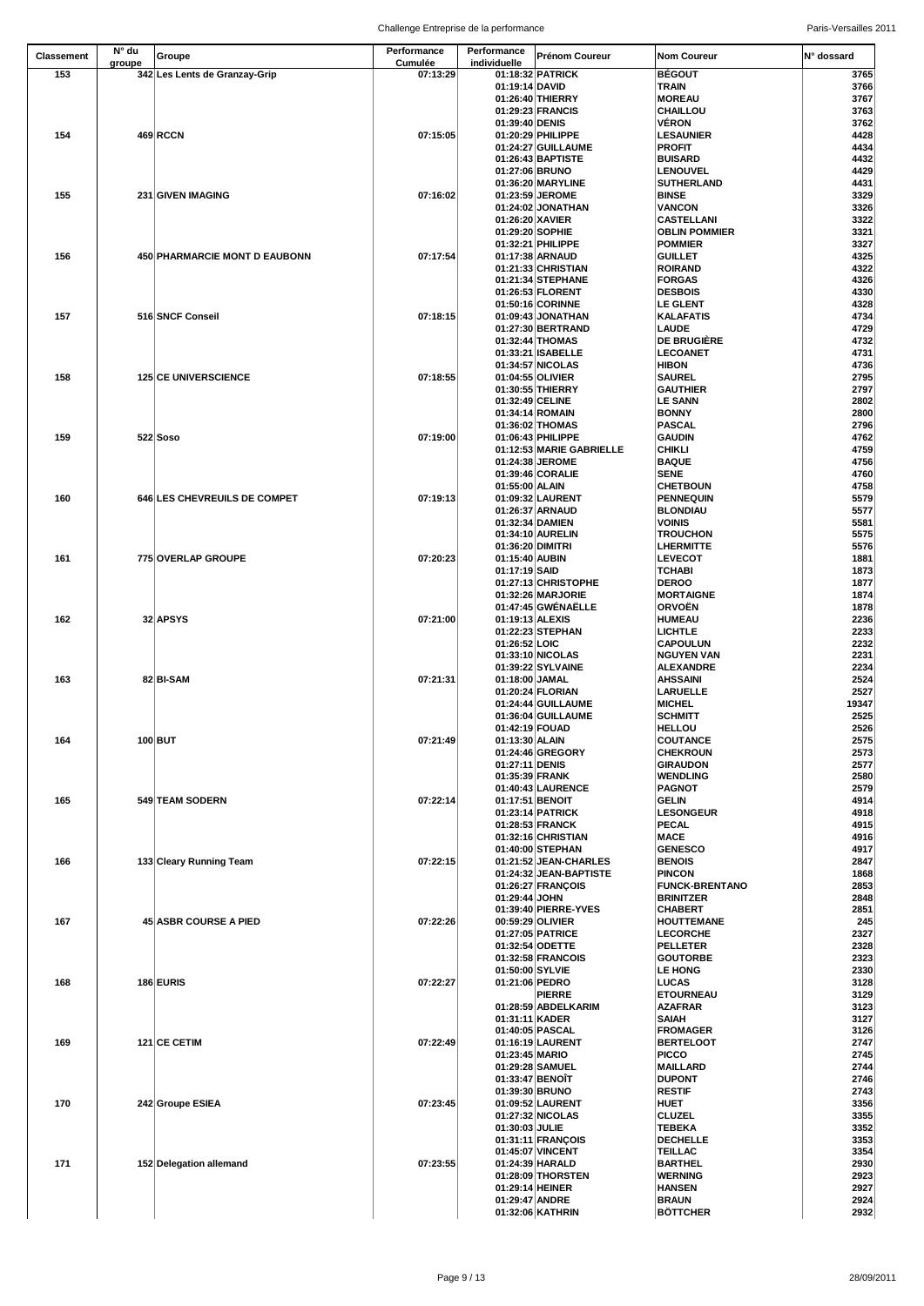| <b>Classement</b> | N° du  | Groupe                        | Performance                | Performance                        | <b>Prénom Coureur</b>                   | <b>Nom Coureur</b>                        | IN° dossard   |
|-------------------|--------|-------------------------------|----------------------------|------------------------------------|-----------------------------------------|-------------------------------------------|---------------|
| 153               | groupe | 342 Les Lents de Granzay-Grip | <b>Cumulée</b><br>07:13:29 | individuelle                       | 01:18:32 PATRICK                        | <b>BÉGOUT</b>                             | 3765          |
|                   |        |                               |                            | 01:19:14 DAVID                     |                                         | <b>TRAIN</b>                              | 3766          |
|                   |        |                               |                            |                                    | 01:26:40 THIERRY                        | <b>MOREAU</b>                             | 3767          |
|                   |        |                               |                            |                                    | 01:29:23 FRANCIS                        | <b>CHAILLOU</b>                           | 3763          |
|                   |        |                               |                            | 01:39:40 DENIS                     |                                         | VÉRON                                     | 3762          |
| 154               |        | <b>469 RCCN</b>               | 07:15:05                   |                                    | 01:20:29 PHILIPPE<br>01:24:27 GUILLAUME | <b>LESAUNIER</b><br><b>PROFIT</b>         | 4428<br>4434  |
|                   |        |                               |                            |                                    | 01:26:43 BAPTISTE                       | <b>BUISARD</b>                            | 4432          |
|                   |        |                               |                            | 01:27:06 BRUNO                     |                                         | <b>LENOUVEL</b>                           | 4429          |
|                   |        |                               |                            |                                    | 01:36:20 MARYLINE                       | <b>SUTHERLAND</b>                         | 4431          |
| 155               |        | 231 GIVEN IMAGING             | 07:16:02                   |                                    | 01:23:59 JEROME                         | <b>BINSE</b>                              | 3329          |
|                   |        |                               |                            | 01:26:20 XAVIER                    | 01:24:02 JONATHAN                       | <b>VANCON</b><br><b>CASTELLANI</b>        | 3326<br>3322  |
|                   |        |                               |                            | 01:29:20 SOPHIE                    |                                         | <b>OBLIN POMMIER</b>                      | 3321          |
|                   |        |                               |                            |                                    | 01:32:21 PHILIPPE                       | <b>POMMIER</b>                            | 3327          |
| 156               |        | 450 PHARMARCIE MONT D EAUBONN | 07:17:54                   |                                    | 01:17:38 ARNAUD                         | <b>GUILLET</b>                            | 4325          |
|                   |        |                               |                            |                                    | 01:21:33 CHRISTIAN                      | <b>ROIRAND</b>                            | 4322          |
|                   |        |                               |                            |                                    | 01:21:34 STEPHANE<br>01:26:53 FLORENT   | <b>FORGAS</b><br><b>DESBOIS</b>           | 4326<br>4330  |
|                   |        |                               |                            |                                    | 01:50:16 CORINNE                        | <b>LE GLENT</b>                           | 4328          |
| 157               |        | 516 SNCF Conseil              | 07:18:15                   |                                    | 01:09:43 JONATHAN                       | <b>KALAFATIS</b>                          | 4734          |
|                   |        |                               |                            |                                    | 01:27:30 BERTRAND                       | <b>LAUDE</b>                              | 4729          |
|                   |        |                               |                            |                                    | 01:32:44 THOMAS<br>01:33:21 ISABELLE    | <b>DE BRUGIÈRE</b><br><b>LECOANET</b>     | 4732<br>4731  |
|                   |        |                               |                            |                                    | 01:34:57 NICOLAS                        | <b>HIBON</b>                              | 4736          |
| 158               |        | <b>125 CE UNIVERSCIENCE</b>   | 07:18:55                   | 01:04:55 OLIVIER                   |                                         | <b>SAUREL</b>                             | 2795          |
|                   |        |                               |                            |                                    | 01:30:55 THIERRY                        | <b>GAUTHIER</b>                           | 2797          |
|                   |        |                               |                            | 01:32:49 CELINE                    |                                         | <b>LE SANN</b>                            | 2802          |
|                   |        |                               |                            | 01:34:14 ROMAIN                    | 01:36:02 THOMAS                         | <b>BONNY</b><br><b>PASCAL</b>             | 2800<br>2796  |
| 159               |        | $522$ Soso                    | 07:19:00                   |                                    | 01:06:43 PHILIPPE                       | <b>GAUDIN</b>                             | 4762          |
|                   |        |                               |                            |                                    | 01:12:53 MARIE GABRIELLE                | <b>CHIKLI</b>                             | 4759          |
|                   |        |                               |                            |                                    | 01:24:38 JEROME                         | <b>BAQUE</b>                              | 4756          |
|                   |        |                               |                            |                                    | 01:39:46 CORALIE                        | <b>SENE</b>                               | 4760          |
| 160               |        | 646 LES CHEVREUILS DE COMPET  | 07:19:13                   | 01:55:00 ALAIN                     | 01:09:32 LAURENT                        | <b>CHETBOUN</b><br><b>PENNEQUIN</b>       | 4758<br>5579  |
|                   |        |                               |                            |                                    | 01:26:37 ARNAUD                         | <b>BLONDIAU</b>                           | 5577          |
|                   |        |                               |                            | 01:32:34 DAMIEN                    |                                         | <b>VOINIS</b>                             | 5581          |
|                   |        |                               |                            |                                    | 01:34:10 AURELIN                        | <b>TROUCHON</b>                           | 5575          |
| 161               |        | 775 OVERLAP GROUPE            | 07:20:23                   | 01:36:20 DIMITRI<br>01:15:40 AUBIN |                                         | <b>LHERMITTE</b><br><b>LEVECOT</b>        | 5576<br>1881  |
|                   |        |                               |                            | 01:17:19 SAID                      |                                         | <b>TCHABI</b>                             | 1873          |
|                   |        |                               |                            |                                    | 01:27:13 CHRISTOPHE                     | <b>DEROO</b>                              | 1877          |
|                   |        |                               |                            |                                    | 01:32:26 MARJORIE                       | <b>MORTAIGNE</b>                          | 1874          |
|                   |        |                               |                            |                                    | 01:47:45 GWÉNAËLLE                      | <b>ORVOËN</b>                             | 1878          |
| 162               |        | 32 APSYS                      | 07:21:00                   | 01:19:13 ALEXIS                    | 01:22:23 STEPHAN                        | <b>HUMEAU</b><br><b>LICHTLE</b>           | 2236<br>2233  |
|                   |        |                               |                            | 01:26:52 LOIC                      |                                         | <b>CAPOULUN</b>                           | 2232          |
|                   |        |                               |                            |                                    | 01:33:10 NICOLAS                        | <b>NGUYEN VAN</b>                         | 2231          |
|                   |        |                               |                            |                                    | 01:39:22 SYLVAINE                       | <b>ALEXANDRE</b>                          | 2234          |
| 163               |        | 82 BI-SAM                     | 07:21:31                   | 01:18:00 JAMAL                     |                                         | <b>AHSSAINI</b>                           | 2524          |
|                   |        |                               |                            |                                    | 01:20:24 FLORIAN<br>01:24:44 GUILLAUME  | <b>LARUELLE</b><br><b>MICHEL</b>          | 2527<br>19347 |
|                   |        |                               |                            |                                    | 01:36:04 GUILLAUME                      | <b>SCHMITT</b>                            | 2525          |
|                   |        |                               |                            | 01:42:19 FOUAD                     |                                         | <b>HELLOU</b>                             | 2526          |
| 164               |        | $100$ BUT                     | 07:21:49                   | 01:13:30 ALAIN                     |                                         | <b>COUTANCE</b>                           | 2575          |
|                   |        |                               |                            | 01:27:11 DENIS                     | 01:24:46 GREGORY                        | <b>CHEKROUN</b><br><b>GIRAUDON</b>        | 2573<br>2577  |
|                   |        |                               |                            | 01:35:39 FRANK                     |                                         | <b>WENDLING</b>                           | 2580          |
|                   |        |                               |                            |                                    | 01:40:43 LAURENCE                       | PAGNOT                                    | 2579          |
| 165               |        | 549 TEAM SODERN               | 07:22:14                   | 01:17:51 BENOIT                    |                                         | <b>GELIN</b>                              | 4914          |
|                   |        |                               |                            |                                    | 01:23:14 PATRICK                        | <b>LESONGEUR</b>                          | 4918          |
|                   |        |                               |                            |                                    | 01:28:53 FRANCK<br>01:32:16 CHRISTIAN   | PECAL<br><b>MACE</b>                      | 4915<br>4916  |
|                   |        |                               |                            |                                    | 01:40:00 STEPHAN                        | <b>GENESCO</b>                            | 4917          |
| 166               |        | 133 Cleary Running Team       | 07:22:15                   |                                    | 01:21:52 JEAN-CHARLES                   | <b>BENOIS</b>                             | 2847          |
|                   |        |                               |                            |                                    | 01:24:32 JEAN-BAPTISTE                  | <b>PINCON</b>                             | 1868          |
|                   |        |                               |                            | 01:29:44 JOHN                      | 01:26:27 FRANÇOIS                       | <b>FUNCK-BRENTANO</b><br><b>BRINITZER</b> | 2853<br>2848  |
|                   |        |                               |                            |                                    | 01:39:40 PIERRE-YVES                    | <b>CHABERT</b>                            | 2851          |
| 167               |        | <b>45 ASBR COURSE A PIED</b>  | 07:22:26                   | 00:59:29 OLIVIER                   |                                         | <b>HOUTTEMANE</b>                         | 245           |
|                   |        |                               |                            |                                    | 01:27:05 PATRICE                        | <b>LECORCHE</b>                           | 2327          |
|                   |        |                               |                            |                                    | 01:32:54 ODETTE<br>01:32:58 FRANCOIS    | <b>PELLETER</b><br><b>GOUTORBE</b>        | 2328<br>2323  |
|                   |        |                               |                            | 01:50:00 SYLVIE                    |                                         | <b>LE HONG</b>                            | 2330          |
| 168               |        | 186 EURIS                     | 07:22:27                   | 01:21:06 PEDRO                     |                                         | <b>LUCAS</b>                              | 3128          |
|                   |        |                               |                            |                                    | <b>PIERRE</b>                           | <b>ETOURNEAU</b>                          | 3129          |
|                   |        |                               |                            | 01:31:11 KADER                     | 01:28:59 ABDELKARIM                     | <b>AZAFRAR</b>                            | 3123          |
|                   |        |                               |                            |                                    | 01:40:05 PASCAL                         | <b>SAIAH</b><br><b>FROMAGER</b>           | 3127<br>3126  |
| 169               |        | 121 CE CETIM                  | 07:22:49                   |                                    | 01:16:19 LAURENT                        | <b>BERTELOOT</b>                          | 2747          |
|                   |        |                               |                            | 01:23:45 MARIO                     |                                         | <b>PICCO</b>                              | 2745          |
|                   |        |                               |                            |                                    | 01:29:28 SAMUEL                         | <b>MAILLARD</b>                           | 2744          |
|                   |        |                               |                            | 01:33:47 BENOIT<br>01:39:30 BRUNO  |                                         | <b>DUPONT</b><br><b>RESTIF</b>            | 2746<br>2743  |
| 170               |        | 242 Groupe ESIEA              | 07:23:45                   |                                    | 01:09:52 LAURENT                        | <b>HUET</b>                               | 3356          |
|                   |        |                               |                            |                                    | 01:27:32 NICOLAS                        | <b>CLUZEL</b>                             | 3355          |
|                   |        |                               |                            | 01:30:03 JULIE                     |                                         | <b>TEBEKA</b>                             | 3352          |
|                   |        |                               |                            |                                    | 01:31:11 FRANÇOIS<br>01:45:07 VINCENT   | <b>DECHELLE</b><br><b>TEILLAC</b>         | 3353<br>3354  |
| 171               |        | 152 Delegation allemand       | 07:23:55                   |                                    | 01:24:39 HARALD                         | <b>BARTHEL</b>                            | 2930          |
|                   |        |                               |                            |                                    | 01:28:09 THORSTEN                       | <b>WERNING</b>                            | 2923          |
|                   |        |                               |                            | 01:29:14 HEINER                    |                                         | <b>HANSEN</b>                             | 2927          |
|                   |        |                               |                            | 01:29:47 ANDRE                     |                                         | <b>BRAUN</b><br><b>BÖTTCHER</b>           | 2924          |
|                   |        |                               |                            |                                    | 01:32:06 KATHRIN                        |                                           | 2932          |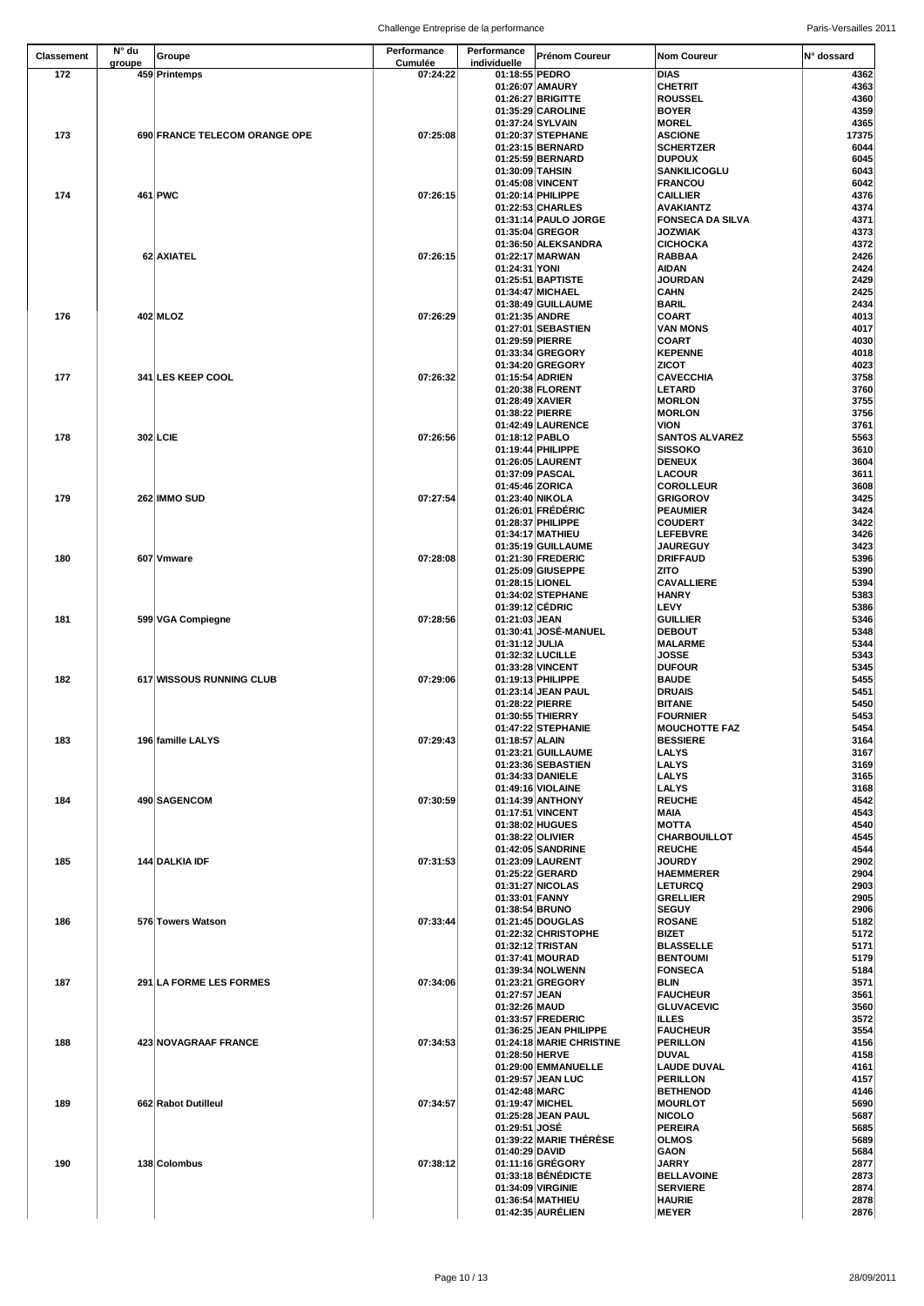| <b>Classement</b> | $N^{\circ}$ du | Groupe                        | <b>Performance</b>         | Performance                      | <b>Prénom Coureur</b>                   | <b>Nom Coureur</b>                        | IN° dossard   |
|-------------------|----------------|-------------------------------|----------------------------|----------------------------------|-----------------------------------------|-------------------------------------------|---------------|
| 172               | groupe         | 459 Printemps                 | <b>Cumulée</b><br>07:24:22 | individuelle<br>01:18:55 PEDRO   |                                         | <b>DIAS</b>                               | 4362          |
|                   |                |                               |                            |                                  | 01:26:07 AMAURY                         | <b>CHETRIT</b>                            | 4363          |
|                   |                |                               |                            |                                  | 01:26:27 BRIGITTE                       | <b>ROUSSEL</b>                            | 4360          |
|                   |                |                               |                            |                                  | 01:35:29 CAROLINE                       | <b>BOYER</b>                              | 4359          |
|                   |                |                               |                            |                                  | 01:37:24 SYLVAIN                        | <b>MOREL</b>                              | 4365          |
| 173               |                | 690 FRANCE TELECOM ORANGE OPE | 07:25:08                   |                                  | 01:20:37 STEPHANE<br>01:23:15 BERNARD   | <b>ASCIONE</b><br><b>SCHERTZER</b>        | 17375<br>6044 |
|                   |                |                               |                            |                                  | 01:25:59 BERNARD                        | <b>DUPOUX</b>                             | 6045          |
|                   |                |                               |                            | 01:30:09 TAHSIN                  |                                         | <b>SANKILICOGLU</b>                       | 6043          |
|                   |                |                               |                            |                                  | 01:45:08 VINCENT                        | <b>FRANCOU</b>                            | 6042          |
| 174               |                | 461 PWC                       | 07:26:15                   |                                  | 01:20:14 PHILIPPE                       | <b>CAILLIER</b>                           | 4376          |
|                   |                |                               |                            |                                  | 01:22:53 CHARLES                        | <b>AVAKIANTZ</b>                          | 4374          |
|                   |                |                               |                            |                                  | 01:31:14 PAULO JORGE<br>01:35:04 GREGOR | <b>FONSECA DA SILVA</b><br><b>JOZWIAK</b> | 4371          |
|                   |                |                               |                            |                                  | 01:36:50 ALEKSANDRA                     | <b>CICHOCKA</b>                           | 4373<br>4372  |
|                   |                | 62 AXIATEL                    | 07:26:15                   |                                  | 01:22:17 MARWAN                         | <b>RABBAA</b>                             | 2426          |
|                   |                |                               |                            | 01:24:31 YONI                    |                                         | <b>AIDAN</b>                              | 2424          |
|                   |                |                               |                            |                                  | 01:25:51 BAPTISTE                       | <b>JOURDAN</b>                            | 2429          |
|                   |                |                               |                            |                                  | 01:34:47 MICHAEL                        | <b>CAHN</b>                               | 2425          |
| 176               |                | 402 MLOZ                      | 07:26:29                   | 01:21:35 ANDRE                   | 01:38:49 GUILLAUME                      | <b>BARIL</b><br><b>COART</b>              | 2434<br>4013  |
|                   |                |                               |                            |                                  | 01:27:01 SEBASTIEN                      | <b>VAN MONS</b>                           | 4017          |
|                   |                |                               |                            | 01:29:59 PIERRE                  |                                         | <b>COART</b>                              | 4030          |
|                   |                |                               |                            |                                  | 01:33:34 GREGORY                        | <b>KEPENNE</b>                            | 4018          |
|                   |                |                               |                            |                                  | 01:34:20 GREGORY                        | <b>ZICOT</b>                              | 4023          |
| 177               |                | 341 LES KEEP COOL             | 07:26:32                   | 01:15:54 ADRIEN                  | 01:20:38 FLORENT                        | <b>CAVECCHIA</b><br><b>LETARD</b>         | 3758<br>3760  |
|                   |                |                               |                            | 01:28:49 XAVIER                  |                                         | <b>MORLON</b>                             | 3755          |
|                   |                |                               |                            | 01:38:22 PIERRE                  |                                         | <b>MORLON</b>                             | 3756          |
|                   |                |                               |                            |                                  | 01:42:49 LAURENCE                       | <b>VION</b>                               | 3761          |
| 178               |                | <b>302 LCIE</b>               | 07:26:56                   | 01:18:12 PABLO                   |                                         | <b>SANTOS ALVAREZ</b>                     | 5563          |
|                   |                |                               |                            |                                  | 01:19:44 PHILIPPE                       | <b>SISSOKO</b>                            | 3610          |
|                   |                |                               |                            | 01:37:09 PASCAL                  | 01:26:05 LAURENT                        | <b>DENEUX</b><br><b>LACOUR</b>            | 3604<br>3611  |
|                   |                |                               |                            | 01:45:46 ZORICA                  |                                         | <b>COROLLEUR</b>                          | 3608          |
| 179               |                | 262 IMMO SUD                  | 07:27:54                   | 01:23:40 NIKOLA                  |                                         | <b>GRIGOROV</b>                           | 3425          |
|                   |                |                               |                            |                                  | 01:26:01 FRÉDÉRIC                       | <b>PEAUMIER</b>                           | 3424          |
|                   |                |                               |                            |                                  | 01:28:37 PHILIPPE                       | <b>COUDERT</b>                            | 3422          |
|                   |                |                               |                            |                                  | 01:34:17 MATHIEU                        | <b>LEFEBVRE</b>                           | 3426          |
| 180               |                | 607 Vmware                    | 07:28:08                   |                                  | 01:35:19 GUILLAUME<br>01:21:30 FREDERIC | <b>JAUREGUY</b><br><b>DRIFFAUD</b>        | 3423<br>5396  |
|                   |                |                               |                            |                                  | 01:25:09 GIUSEPPE                       | <b>ZITO</b>                               | 5390          |
|                   |                |                               |                            | 01:28:15 LIONEL                  |                                         | <b>CAVALLIERE</b>                         | 5394          |
|                   |                |                               |                            |                                  | 01:34:02 STEPHANE                       | <b>HANRY</b>                              | 5383          |
|                   |                |                               |                            | 01:39:12 CÉDRIC                  |                                         | <b>LEVY</b>                               | 5386          |
| 181               |                | 599 VGA Compiegne             | 07:28:56                   | 01:21:03 JEAN                    | 01:30:41 JOSÉ-MANUEL                    | <b>GUILLIER</b><br><b>DEBOUT</b>          | 5346          |
|                   |                |                               |                            | 01:31:12 JULIA                   |                                         | <b>MALARME</b>                            | 5348<br>5344  |
|                   |                |                               |                            |                                  | 01:32:32 LUCILLE                        | <b>JOSSE</b>                              | 5343          |
|                   |                |                               |                            |                                  | 01:33:28 VINCENT                        | <b>DUFOUR</b>                             | 5345          |
| 182               |                | 617 WISSOUS RUNNING CLUB      | 07:29:06                   |                                  | 01:19:13 PHILIPPE                       | <b>BAUDE</b>                              | 5455          |
|                   |                |                               |                            |                                  | 01:23:14 JEAN PAUL                      | <b>DRUAIS</b>                             | 5451          |
|                   |                |                               |                            | 01:28:22 PIERRE                  | 01:30:55 THIERRY                        | <b>BITANE</b><br><b>FOURNIER</b>          | 5450<br>5453  |
|                   |                |                               |                            |                                  | 01:47:22 STEPHANIE                      | <b>MOUCHOTTE FAZ</b>                      | 5454          |
| 183               |                | 196 famille LALYS             | 07:29:43                   | 01:18:57 ALAIN                   |                                         | <b>BESSIERE</b>                           | 3164          |
|                   |                |                               |                            |                                  | 01:23:21 GUILLAUME                      | <b>LALYS</b>                              | 3167          |
|                   |                |                               |                            |                                  | 01:23:36 SEBASTIEN                      | <b>LALYS</b>                              | 3169          |
|                   |                |                               |                            |                                  | 01:34:33 DANIELE<br>01:49:16 VIOLAINE   | <b>LALYS</b><br><b>LALYS</b>              | 3165<br>3168  |
| 184               |                | 490 SAGENCOM                  | 07:30:59                   |                                  | 01:14:39 ANTHONY                        | <b>REUCHE</b>                             | 4542          |
|                   |                |                               |                            |                                  | 01:17:51 VINCENT                        | <b>MAIA</b>                               | 4543          |
|                   |                |                               |                            |                                  | 01:38:02 HUGUES                         | <b>MOTTA</b>                              | 4540          |
|                   |                |                               |                            | 01:38:22 OLIVIER                 |                                         | <b>CHARBOUILLOT</b>                       | 4545          |
|                   |                |                               |                            |                                  | 01:42:05 SANDRINE                       | <b>REUCHE</b>                             | 4544          |
| 185               |                | 144 DALKIA IDF                | 07:31:53                   |                                  | 01:23:09 LAURENT<br>01:25:22 GERARD     | <b>JOURDY</b><br><b>HAEMMERER</b>         | 2902<br>2904  |
|                   |                |                               |                            |                                  | 01:31:27 NICOLAS                        | <b>LETURCQ</b>                            | 2903          |
|                   |                |                               |                            | 01:33:01 FANNY                   |                                         | <b>GRELLIER</b>                           | 2905          |
|                   |                |                               |                            | 01:38:54 BRUNO                   |                                         | <b>SEGUY</b>                              | 2906          |
| 186               |                | 576 Towers Watson             | 07:33:44                   |                                  | 01:21:45 DOUGLAS                        | <b>ROSANE</b>                             | 5182          |
|                   |                |                               |                            |                                  | 01:22:32 CHRISTOPHE<br>01:32:12 TRISTAN | <b>BIZET</b><br><b>BLASSELLE</b>          | 5172<br>5171  |
|                   |                |                               |                            |                                  | 01:37:41 MOURAD                         | <b>BENTOUMI</b>                           | 5179          |
|                   |                |                               |                            |                                  | 01:39:34 NOLWENN                        | <b>FONSECA</b>                            | 5184          |
| 187               |                | 291 LA FORME LES FORMES       | 07:34:06                   |                                  | 01:23:21 GREGORY                        | <b>BLIN</b>                               | 3571          |
|                   |                |                               |                            | 01:27:57 JEAN                    |                                         | <b>FAUCHEUR</b>                           | 3561          |
|                   |                |                               |                            | 01:32:26 MAUD                    | 01:33:57 FREDERIC                       | <b>GLUVACEVIC</b><br><b>ILLES</b>         | 3560<br>3572  |
|                   |                |                               |                            |                                  | 01:36:25 JEAN PHILIPPE                  | <b>FAUCHEUR</b>                           | 3554          |
| 188               |                | 423 NOVAGRAAF FRANCE          | 07:34:53                   |                                  | 01:24:18 MARIE CHRISTINE                | <b>PERILLON</b>                           | 4156          |
|                   |                |                               |                            | 01:28:50 HERVE                   |                                         | <b>DUVAL</b>                              | 4158          |
|                   |                |                               |                            |                                  | 01:29:00 EMMANUELLE                     | <b>LAUDE DUVAL</b>                        | 4161          |
|                   |                |                               |                            |                                  | 01:29:57 JEAN LUC                       | <b>PERILLON</b>                           | 4157          |
| 189               |                | 662 Rabot Dutilleul           | 07:34:57                   | 01:42:48 MARC<br>01:19:47 MICHEL |                                         | <b>BETHENOD</b><br><b>MOURLOT</b>         | 4146<br>5690  |
|                   |                |                               |                            |                                  | 01:25:28 JEAN PAUL                      | <b>NICOLO</b>                             | 5687          |
|                   |                |                               |                            | 01:29:51 JOSÉ                    |                                         | <b>PEREIRA</b>                            | 5685          |
|                   |                |                               |                            |                                  | 01:39:22 MARIE THÉRÈSE                  | <b>OLMOS</b>                              | 5689          |
|                   |                |                               |                            | 01:40:29 DAVID                   |                                         | <b>GAON</b>                               | 5684          |
| 190               |                | 138 Colombus                  | 07:38:12                   |                                  | 01:11:16 GRÉGORY<br>01:33:18 BÉNÉDICTE  | <b>JARRY</b><br><b>BELLAVOINE</b>         | 2877<br>2873  |
|                   |                |                               |                            |                                  | 01:34:09 VIRGINIE                       | <b>SERVIERE</b>                           | 2874          |
|                   |                |                               |                            |                                  | 01:36:54 MATHIEU                        | <b>HAURIE</b>                             | 2878          |
|                   |                |                               |                            |                                  | 01:42:35 AURÉLIEN                       | <b>MEYER</b>                              | 2876          |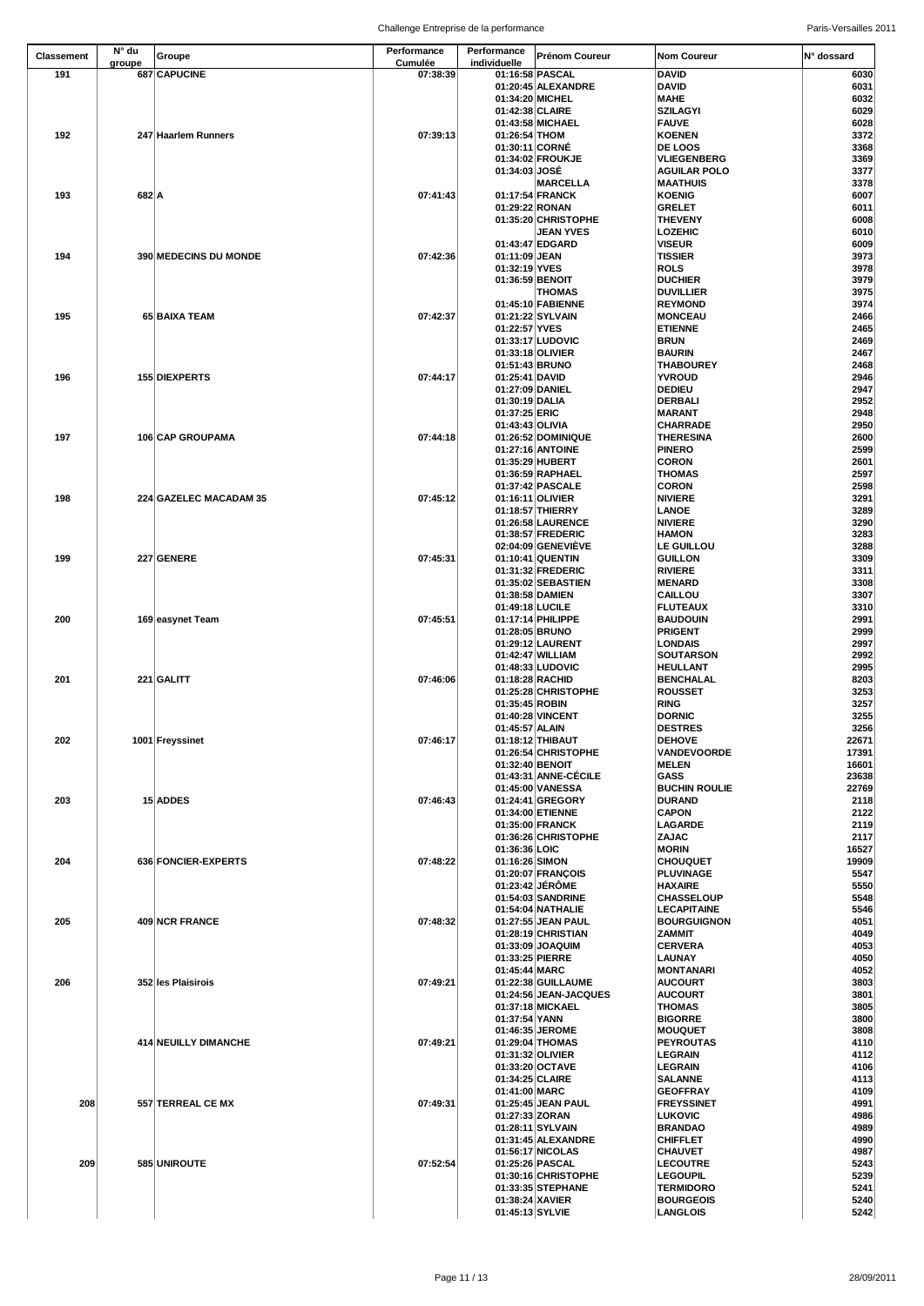| <b>Classement</b> | $N^{\circ}$ du<br>groupe | Groupe                       | Performance<br><b>Cumulée</b> | Performance<br>individuelle      | <b>Prénom Coureur</b>                       | Nom Coureur                              | IN° dossard    |
|-------------------|--------------------------|------------------------------|-------------------------------|----------------------------------|---------------------------------------------|------------------------------------------|----------------|
| 191               |                          | 687 CAPUCINE                 | 07:38:39                      | 01:16:58 PASCAL                  |                                             | <b>DAVID</b>                             | 6030           |
|                   |                          |                              |                               |                                  | 01:20:45 ALEXANDRE                          | <b>DAVID</b>                             | 6031           |
|                   |                          |                              |                               | 01:34:20 MICHEL                  |                                             | <b>MAHE</b>                              | 6032           |
|                   |                          |                              |                               | 01:42:38 CLAIRE                  |                                             | <b>SZILAGYI</b>                          | 6029           |
| 192               |                          | 247 Haarlem Runners          | 07:39:13                      | 01:26:54 THOM                    | 01:43:58 MICHAEL                            | <b>FAUVE</b><br><b>KOENEN</b>            | 6028<br>3372   |
|                   |                          |                              |                               | 01:30:11 CORNÉ                   |                                             | <b>DE LOOS</b>                           | 3368           |
|                   |                          |                              |                               |                                  | 01:34:02 FROUKJE                            | <b>VLIEGENBERG</b>                       | 3369           |
|                   |                          |                              |                               | 01:34:03 JOSÉ                    |                                             | <b>AGUILAR POLO</b>                      | 3377           |
|                   |                          |                              |                               |                                  | <b>MARCELLA</b>                             | <b>MAATHUIS</b>                          | 3378           |
| 193               | $682$ A                  |                              | 07:41:43                      |                                  | 01:17:54 FRANCK                             | <b>KOENIG</b>                            | 6007           |
|                   |                          |                              |                               | 01:29:22 RONAN                   | 01:35:20 CHRISTOPHE                         | <b>GRELET</b><br><b>THEVENY</b>          | 6011<br>6008   |
|                   |                          |                              |                               |                                  | <b>JEAN YVES</b>                            | <b>LOZEHIC</b>                           | 6010           |
|                   |                          |                              |                               |                                  | 01:43:47 EDGARD                             | <b>VISEUR</b>                            | 6009           |
| 194               |                          | <b>390 MEDECINS DU MONDE</b> | 07:42:36                      | 01:11:09 JEAN                    |                                             | <b>TISSIER</b>                           | 3973           |
|                   |                          |                              |                               | 01:32:19 YVES                    |                                             | <b>ROLS</b>                              | 3978           |
|                   |                          |                              |                               | 01:36:59 BENOIT                  | <b>THOMAS</b>                               | <b>DUCHIER</b><br><b>DUVILLIER</b>       | 3979<br>3975   |
|                   |                          |                              |                               |                                  | 01:45:10 FABIENNE                           | <b>REYMOND</b>                           | 3974           |
| 195               |                          | 65 BAIXA TEAM                | 07:42:37                      |                                  | 01:21:22 SYLVAIN                            | <b>MONCEAU</b>                           | 2466           |
|                   |                          |                              |                               | 01:22:57 YVES                    |                                             | <b>ETIENNE</b>                           | 2465           |
|                   |                          |                              |                               |                                  | 01:33:17 LUDOVIC                            | <b>BRUN</b>                              | 2469           |
|                   |                          |                              |                               | 01:33:18 OLIVIER                 |                                             | <b>BAURIN</b>                            | 2467           |
| 196               |                          | 155 DIEXPERTS                | 07:44:17                      | 01:51:43 BRUNO<br>01:25:41 DAVID |                                             | <b>THABOUREY</b><br><b>YVROUD</b>        | 2468<br>2946   |
|                   |                          |                              |                               | 01:27:09 DANIEL                  |                                             | <b>DEDIEU</b>                            | 2947           |
|                   |                          |                              |                               | 01:30:19 DALIA                   |                                             | <b>DERBALI</b>                           | 2952           |
|                   |                          |                              |                               | 01:37:25 ERIC                    |                                             | <b>MARANT</b>                            | 2948           |
|                   |                          |                              |                               | 01:43:43 OLIVIA                  |                                             | <b>CHARRADE</b>                          | 2950           |
| 197               |                          | 106 CAP GROUPAMA             | 07:44:18                      |                                  | 01:26:52 DOMINIQUE<br>01:27:16 ANTOINE      | <b>THERESINA</b><br><b>PINERO</b>        | 2600<br>2599   |
|                   |                          |                              |                               |                                  | 01:35:29 HUBERT                             | <b>CORON</b>                             | 2601           |
|                   |                          |                              |                               |                                  | 01:36:59 RAPHAEL                            | <b>THOMAS</b>                            | 2597           |
|                   |                          |                              |                               |                                  | 01:37:42 PASCALE                            | <b>CORON</b>                             | 2598           |
| 198               |                          | 224 GAZELEC MACADAM 35       | 07:45:12                      | 01:16:11 OLIVIER                 |                                             | <b>NIVIERE</b>                           | 3291           |
|                   |                          |                              |                               |                                  | 01:18:57 THIERRY                            | <b>LANOE</b>                             | 3289           |
|                   |                          |                              |                               |                                  | 01:26:58 LAURENCE<br>01:38:57 FREDERIC      | <b>NIVIERE</b><br><b>HAMON</b>           | 3290<br>3283   |
|                   |                          |                              |                               |                                  | 02:04:09 GENEVIÈVE                          | LE GUILLOU                               | 3288           |
| 199               |                          | 227 GENERE                   | 07:45:31                      |                                  | 01:10:41 QUENTIN                            | <b>GUILLON</b>                           | 3309           |
|                   |                          |                              |                               |                                  | 01:31:32 FREDERIC                           | <b>RIVIERE</b>                           | 3311           |
|                   |                          |                              |                               |                                  | 01:35:02 SEBASTIEN                          | <b>MENARD</b>                            | 3308           |
|                   |                          |                              |                               | 01:38:58 DAMIEN                  |                                             | <b>CAILLOU</b>                           | 3307           |
| 200               |                          | 169 easynet Team             | 07:45:51                      | 01:49:18 LUCILE                  | 01:17:14 PHILIPPE                           | <b>FLUTEAUX</b><br><b>BAUDOUIN</b>       | 3310<br>2991   |
|                   |                          |                              |                               | 01:28:05 BRUNO                   |                                             | <b>PRIGENT</b>                           | 2999           |
|                   |                          |                              |                               |                                  | 01:29:12 LAURENT                            | <b>LONDAIS</b>                           | 2997           |
|                   |                          |                              |                               |                                  | 01:42:47 WILLIAM                            | <b>SOUTARSON</b>                         | 2992           |
|                   |                          |                              |                               |                                  | 01:48:33 LUDOVIC                            | <b>HEULLANT</b>                          | 2995           |
| 201               |                          | 221 GALITT                   | 07:46:06                      | 01:18:28 RACHID                  |                                             | <b>BENCHALAL</b>                         | 8203           |
|                   |                          |                              |                               | 01:35:45 ROBIN                   | 01:25:28 CHRISTOPHE                         | <b>ROUSSET</b><br><b>RING</b>            | 3253<br>3257   |
|                   |                          |                              |                               |                                  | 01:40:28 VINCENT                            | <b>DORNIC</b>                            | 3255           |
|                   |                          |                              |                               | 01:45:57 ALAIN                   |                                             | <b>DESTRES</b>                           | 3256           |
| 202               |                          | 1001 Freyssinet              | 07:46:17                      |                                  | 01:18:12 THIBAUT                            | <b>DEHOVE</b>                            | 22671          |
|                   |                          |                              |                               |                                  | 01:26:54 CHRISTOPHE                         | <b>VANDEVOORDE</b>                       | 17391          |
|                   |                          |                              |                               | 01:32:40 BENOIT                  | 01:43:31 ANNE-CÉCILE                        | <b>MELEN</b><br><b>GASS</b>              | 16601<br>23638 |
|                   |                          |                              |                               |                                  | 01:45:00 VANESSA                            | <b>BUCHIN ROULIE</b>                     | 22769          |
| 203               |                          | 15 ADDES                     | 07:46:43                      |                                  | 01:24:41 GREGORY                            | <b>DURAND</b>                            | 2118           |
|                   |                          |                              |                               |                                  | 01:34:00 ETIENNE                            | <b>CAPON</b>                             | 2122           |
|                   |                          |                              |                               |                                  | 01:35:00 FRANCK                             | LAGARDE                                  | 2119           |
|                   |                          |                              |                               | 01:36:36 LOIC                    | 01:36:26 CHRISTOPHE                         | <b>ZAJAC</b><br><b>MORIN</b>             | 2117<br>16527  |
| 204               |                          | 636 FONCIER-EXPERTS          | 07:48:22                      | 01:16:26 SIMON                   |                                             | <b>CHOUQUET</b>                          | 19909          |
|                   |                          |                              |                               |                                  | 01:20:07 FRANÇOIS                           | PLUVINAGE                                | 5547           |
|                   |                          |                              |                               |                                  | 01:23:42 JÉRÔME                             | <b>HAXAIRE</b>                           | 5550           |
|                   |                          |                              |                               |                                  | 01:54:03 SANDRINE                           | <b>CHASSELOUP</b>                        | 5548           |
| 205               |                          | 409 NCR FRANCE               | 07:48:32                      |                                  | 01:54:04 NATHALIE<br>01:27:55 JEAN PAUL     | <b>LECAPITAINE</b><br><b>BOURGUIGNON</b> | 5546<br>4051   |
|                   |                          |                              |                               |                                  | 01:28:19 CHRISTIAN                          | <b>ZAMMIT</b>                            | 4049           |
|                   |                          |                              |                               |                                  | 01:33:09 JOAQUIM                            | <b>CERVERA</b>                           | 4053           |
|                   |                          |                              |                               | 01:33:25 PIERRE                  |                                             | <b>LAUNAY</b>                            | 4050           |
|                   |                          |                              |                               | 01:45:44 MARC                    |                                             | <b>MONTANARI</b>                         | 4052           |
| 206               |                          | 352 les Plaisirois           | 07:49:21                      |                                  | 01:22:38 GUILLAUME<br>01:24:56 JEAN-JACQUES | <b>AUCOURT</b><br><b>AUCOURT</b>         | 3803<br>3801   |
|                   |                          |                              |                               |                                  | 01:37:18 MICKAEL                            | <b>THOMAS</b>                            | 3805           |
|                   |                          |                              |                               | 01:37:54 YANN                    |                                             | <b>BIGORRE</b>                           | 3800           |
|                   |                          |                              |                               |                                  | 01:46:35 JEROME                             | <b>IMOUQUET</b>                          | 3808           |
|                   |                          | 414 NEUILLY DIMANCHE         | 07:49:21                      |                                  | 01:29:04 THOMAS                             | <b>PEYROUTAS</b>                         | 4110           |
|                   |                          |                              |                               | 01:31:32 OLIVIER                 |                                             | <b>LEGRAIN</b><br><b>LEGRAIN</b>         | 4112           |
|                   |                          |                              |                               | 01:34:25 CLAIRE                  | 01:33:20 OCTAVE                             | <b>SALANNE</b>                           | 4106<br>4113   |
|                   |                          |                              |                               | 01:41:00 MARC                    |                                             | <b>GEOFFRAY</b>                          | 4109           |
| 208               |                          | 557 TERREAL CE MX            | 07:49:31                      |                                  | 01:25:45 JEAN PAUL                          | <b>FREYSSINET</b>                        | 4991           |
|                   |                          |                              |                               | 01:27:33 ZORAN                   |                                             | <b>LUKOVIC</b>                           | 4986           |
|                   |                          |                              |                               |                                  | 01:28:11 SYLVAIN                            | <b>BRANDAO</b>                           | 4989           |
|                   |                          |                              |                               |                                  | 01:31:45 ALEXANDRE<br>01:56:17 NICOLAS      | <b>CHIFFLET</b><br><b>CHAUVET</b>        | 4990<br>4987   |
| 209               |                          | 585 UNIROUTE                 | 07:52:54                      |                                  | 01:25:26 PASCAL                             | <b>LECOUTRE</b>                          | 5243           |
|                   |                          |                              |                               |                                  | 01:30:16 CHRISTOPHE                         | <b>LEGOUPIL</b>                          | 5239           |
|                   |                          |                              |                               |                                  | 01:33:35 STEPHANE                           | <b>TERMIDORO</b>                         | 5241           |
|                   |                          |                              |                               | 01:38:24 XAVIER                  |                                             | <b>BOURGEOIS</b>                         | 5240           |
|                   |                          |                              |                               | 01:45:13 SYLVIE                  |                                             | <b>LANGLOIS</b>                          | 5242           |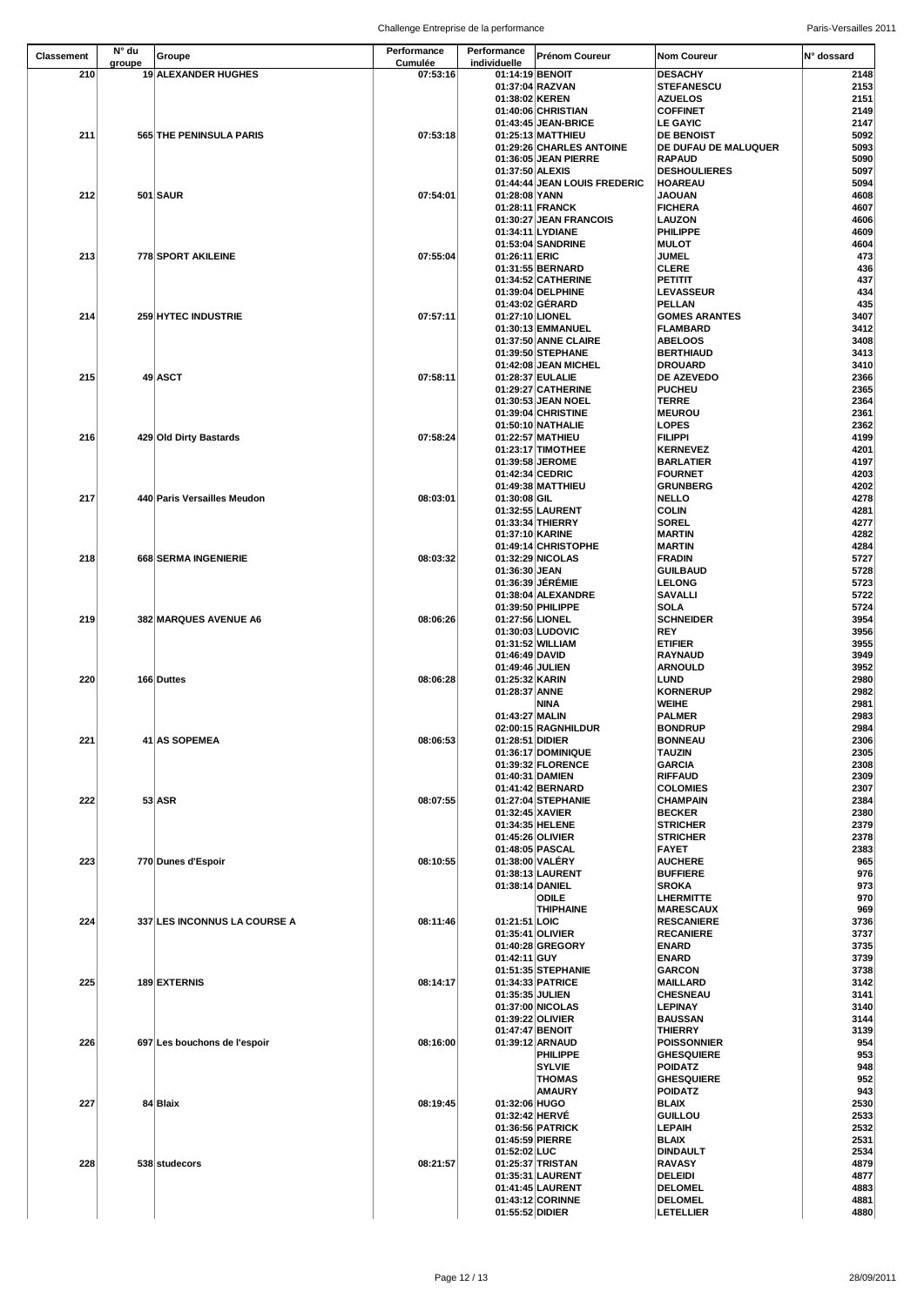| <b>Classement</b> | N° du  | Groupe                       | Performance                | Performance                     | <b>Prénom Coureur</b>                      | <b>Nom Coureur</b>                   | IN° dossard  |
|-------------------|--------|------------------------------|----------------------------|---------------------------------|--------------------------------------------|--------------------------------------|--------------|
| 210               | groupe | 19 ALEXANDER HUGHES          | <b>Cumulée</b><br>07:53:16 | individuelle<br>01:14:19 BENOIT |                                            | <b>DESACHY</b>                       | 2148         |
|                   |        |                              |                            |                                 | 01:37:04 RAZVAN                            | <b>STEFANESCU</b>                    | 2153         |
|                   |        |                              |                            | 01:38:02 KEREN                  |                                            | <b>AZUELOS</b>                       | 2151         |
|                   |        |                              |                            |                                 | 01:40:06 CHRISTIAN                         | <b>COFFINET</b>                      | 2149         |
| 211               |        | 565 THE PENINSULA PARIS      | 07:53:18                   |                                 | 01:43:45 JEAN-BRICE<br>01:25:13 MATTHIEU   | <b>LE GAYIC</b><br><b>DE BENOIST</b> | 2147<br>5092 |
|                   |        |                              |                            |                                 | 01:29:26 CHARLES ANTOINE                   | DE DUFAU DE MALUQUER                 | 5093         |
|                   |        |                              |                            |                                 | 01:36:05 JEAN PIERRE                       | <b>RAPAUD</b>                        | 5090         |
|                   |        |                              |                            | 01:37:50 ALEXIS                 |                                            | <b>DESHOULIERES</b>                  | 5097         |
|                   |        |                              |                            |                                 | 01:44:44 JEAN LOUIS FREDERIC               | <b>HOAREAU</b>                       | 5094         |
| 212               |        | <b>501 SAUR</b>              | 07:54:01                   | 01:28:08 YANN                   |                                            | <b>JAOUAN</b>                        | 4608         |
|                   |        |                              |                            |                                 | 01:28:11 FRANCK                            | <b>FICHERA</b><br><b>LAUZON</b>      | 4607         |
|                   |        |                              |                            |                                 | 01:30:27 JEAN FRANCOIS<br>01:34:11 LYDIANE | <b>PHILIPPE</b>                      | 4606<br>4609 |
|                   |        |                              |                            |                                 | 01:53:04 SANDRINE                          | <b>MULOT</b>                         | 4604         |
| 213               |        | 778 SPORT AKILEINE           | 07:55:04                   | 01:26:11 ERIC                   |                                            | <b>JUMEL</b>                         | 473          |
|                   |        |                              |                            |                                 | 01:31:55 BERNARD                           | <b>CLERE</b>                         | 436          |
|                   |        |                              |                            |                                 | 01:34:52 CATHERINE                         | <b>PETITIT</b>                       | 437          |
|                   |        |                              |                            |                                 | 01:39:04 DELPHINE<br>01:43:02 GÉRARD       | <b>LEVASSEUR</b><br>PELLAN           | 434<br>435   |
| 214               |        | 259 HYTEC INDUSTRIE          | 07:57:11                   | 01:27:10 LIONEL                 |                                            | <b>GOMES ARANTES</b>                 | 3407         |
|                   |        |                              |                            |                                 | 01:30:13 EMMANUEL                          | <b>FLAMBARD</b>                      | 3412         |
|                   |        |                              |                            |                                 | 01:37:50 ANNE CLAIRE                       | <b>ABELOOS</b>                       | 3408         |
|                   |        |                              |                            |                                 | 01:39:50 STEPHANE                          | <b>BERTHIAUD</b>                     | 3413         |
|                   |        |                              |                            |                                 | 01:42:08 JEAN MICHEL                       | <b>DROUARD</b>                       | 3410         |
| 215               |        | $49$ ASCT                    | 07:58:11                   |                                 | 01:28:37 EULALIE<br>01:29:27 CATHERINE     | <b>DE AZEVEDO</b><br><b>PUCHEU</b>   | 2366<br>2365 |
|                   |        |                              |                            |                                 | 01:30:53 JEAN NOEL                         | <b>TERRE</b>                         | 2364         |
|                   |        |                              |                            |                                 | 01:39:04 CHRISTINE                         | <b>MEUROU</b>                        | 2361         |
|                   |        |                              |                            |                                 | 01:50:10 NATHALIE                          | <b>LOPES</b>                         | 2362         |
| 216               |        | 429 Old Dirty Bastards       | 07:58:24                   |                                 | 01:22:57 MATHIEU                           | <b>FILIPPI</b>                       | 4199         |
|                   |        |                              |                            |                                 | 01:23:17 TIMOTHEE                          | <b>KERNEVEZ</b>                      | 4201         |
|                   |        |                              |                            | 01:42:34 CEDRIC                 | 01:39:58 JEROME                            | <b>BARLATIER</b><br><b>FOURNET</b>   | 4197<br>4203 |
|                   |        |                              |                            |                                 | 01:49:38 MATTHIEU                          | <b>GRUNBERG</b>                      | 4202         |
| 217               |        | 440 Paris Versailles Meudon  | 08:03:01                   | $01:30:08$ GIL                  |                                            | <b>NELLO</b>                         | 4278         |
|                   |        |                              |                            |                                 | 01:32:55 LAURENT                           | <b>COLIN</b>                         | 4281         |
|                   |        |                              |                            |                                 | 01:33:34 THIERRY                           | <b>SOREL</b>                         | 4277         |
|                   |        |                              |                            | 01:37:10 KARINE                 |                                            | <b>MARTIN</b>                        | 4282         |
| 218               |        | 668 SERMA INGENIERIE         | 08:03:32                   |                                 | 01:49:14 CHRISTOPHE<br>01:32:29 NICOLAS    | <b>MARTIN</b><br><b>FRADIN</b>       | 4284<br>5727 |
|                   |        |                              |                            | 01:36:30 JEAN                   |                                            | <b>GUILBAUD</b>                      | 5728         |
|                   |        |                              |                            |                                 | 01:36:39 JÉRÉMIE                           | <b>LELONG</b>                        | 5723         |
|                   |        |                              |                            |                                 | 01:38:04 ALEXANDRE                         | <b>SAVALLI</b>                       | 5722         |
|                   |        |                              |                            |                                 | 01:39:50 PHILIPPE                          | <b>SOLA</b>                          | 5724         |
| 219               |        | <b>382 MARQUES AVENUE A6</b> | 08:06:26                   | 01:27:56 LIONEL                 |                                            | <b>SCHNEIDER</b>                     | 3954         |
|                   |        |                              |                            |                                 | 01:30:03 LUDOVIC<br>01:31:52 WILLIAM       | <b>REY</b><br><b>ETIFIER</b>         | 3956<br>3955 |
|                   |        |                              |                            | 01:46:49 DAVID                  |                                            | <b>RAYNAUD</b>                       | 3949         |
|                   |        |                              |                            | 01:49:46 JULIEN                 |                                            | <b>ARNOULD</b>                       | 3952         |
| 220               |        | 166 Duttes                   | 08:06:28                   | 01:25:32 KARIN                  |                                            | <b>LUND</b>                          | 2980         |
|                   |        |                              |                            | 01:28:37 ANNE                   |                                            | <b>KORNERUP</b>                      | 2982         |
|                   |        |                              |                            |                                 | <b>NINA</b>                                | <b>WEIHE</b>                         | 2981         |
|                   |        |                              |                            | 01:43:27 MALIN                  | 02:00:15 RAGNHILDUR                        | <b>PALMER</b><br><b>BONDRUP</b>      | 2983<br>2984 |
| 221               |        | 41 AS SOPEMEA                | 08:06:53                   | 01:28:51 DIDIER                 |                                            | <b>BONNEAU</b>                       | 2306         |
|                   |        |                              |                            |                                 | 01:36:17 DOMINIQUE                         | <b>TAUZIN</b>                        | 2305         |
|                   |        |                              |                            |                                 | 01:39:32 FLORENCE                          | <b>GARCIA</b>                        | 2308         |
|                   |        |                              |                            | 01:40:31 DAMIEN                 |                                            | <b>RIFFAUD</b>                       | 2309         |
|                   |        |                              | 08:07:55                   |                                 | 01:41:42 BERNARD<br>01:27:04 STEPHANIE     | <b>COLOMIES</b><br><b>CHAMPAIN</b>   | 2307         |
| 222               |        | $53$ ASR                     |                            | 01:32:45 XAVIER                 |                                            | <b>BECKER</b>                        | 2384<br>2380 |
|                   |        |                              |                            |                                 | 01:34:35 HELENE                            | <b>STRICHER</b>                      | 2379         |
|                   |        |                              |                            |                                 | 01:45:26 OLIVIER                           | <b>STRICHER</b>                      | 2378         |
|                   |        |                              |                            |                                 | 01:48:05 PASCAL                            | <b>FAYET</b>                         | 2383         |
| 223               |        | 770 Dunes d'Espoir           | 08:10:55                   |                                 | 01:38:00 VALÉRY                            | <b>AUCHERE</b>                       | 965          |
|                   |        |                              |                            | 01:38:14 DANIEL                 | 01:38:13 LAURENT                           | <b>BUFFIERE</b><br><b>SROKA</b>      | 976<br>973   |
|                   |        |                              |                            |                                 | <b>ODILE</b>                               | <b>LHERMITTE</b>                     | 970          |
|                   |        |                              |                            |                                 | <b>THIPHAINE</b>                           | <b>MARESCAUX</b>                     | 969          |
| 224               |        | 337 LES INCONNUS LA COURSE A | 08:11:46                   | 01:21:51 LOIC                   |                                            | <b>RESCANIERE</b>                    | 3736         |
|                   |        |                              |                            |                                 | 01:35:41 OLIVIER                           | <b>RECANIERE</b>                     | 3737         |
|                   |        |                              |                            |                                 | 01:40:28 GREGORY                           | <b>ENARD</b>                         | 3735         |
|                   |        |                              |                            | $01:42:11$ GUY                  | 01:51:35 STEPHANIE                         | <b>ENARD</b><br><b>GARCON</b>        | 3739<br>3738 |
| 225               |        | 189 EXTERNIS                 | 08:14:17                   |                                 | 01:34:33 PATRICE                           | <b>MAILLARD</b>                      | 3142         |
|                   |        |                              |                            | 01:35:35 JULIEN                 |                                            | <b>CHESNEAU</b>                      | 3141         |
|                   |        |                              |                            |                                 | 01:37:00 NICOLAS                           | <b>LEPINAY</b>                       | 3140         |
|                   |        |                              |                            |                                 | 01:39:22 OLIVIER                           | <b>BAUSSAN</b>                       | 3144         |
| 226               |        | 697 Les bouchons de l'espoir | 08:16:00                   | 01:47:47 BENOIT                 | 01:39:12 ARNAUD                            | <b>THIERRY</b><br><b>POISSONNIER</b> | 3139<br>954  |
|                   |        |                              |                            |                                 | <b>PHILIPPE</b>                            | <b>GHESQUIERE</b>                    | 953          |
|                   |        |                              |                            |                                 | <b>SYLVIE</b>                              | <b>POIDATZ</b>                       | 948          |
|                   |        |                              |                            |                                 | <b>THOMAS</b>                              | <b>GHESQUIERE</b>                    | 952          |
|                   |        |                              |                            |                                 | <b>AMAURY</b>                              | <b>POIDATZ</b>                       | 943          |
| 227               |        | $84$ Blaix                   | 08:19:45                   | 01:32:06 HUGO                   |                                            | <b>BLAIX</b>                         | 2530         |
|                   |        |                              |                            | 01:32:42 HERVÉ                  | 01:36:56 PATRICK                           | <b>GUILLOU</b><br><b>LEPAIH</b>      | 2533<br>2532 |
|                   |        |                              |                            | 01:45:59 PIERRE                 |                                            | <b>BLAIX</b>                         | 2531         |
|                   |        |                              |                            | 01:52:02 LUC                    |                                            | <b>DINDAULT</b>                      | 2534         |
| 228               |        | 538 studecors                | 08:21:57                   |                                 | 01:25:37 TRISTAN                           | <b>RAVASY</b>                        | 4879         |
|                   |        |                              |                            |                                 | 01:35:31 LAURENT                           | <b>DELEIDI</b>                       | 4877         |
|                   |        |                              |                            |                                 | 01:41:45 LAURENT<br>01:43:12 CORINNE       | <b>DELOMEL</b><br><b>DELOMEL</b>     | 4883         |
|                   |        |                              |                            | 01:55:52 DIDIER                 |                                            | <b>LETELLIER</b>                     | 4881<br>4880 |
|                   |        |                              |                            |                                 |                                            |                                      |              |